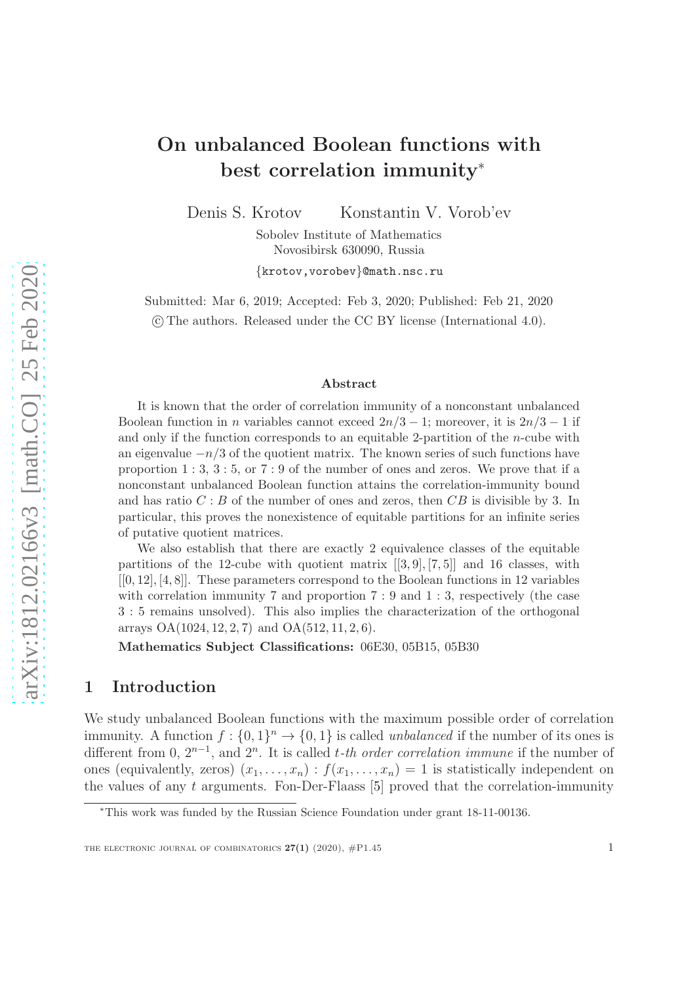# On unbalanced Boolean functions with best correlation immunity<sup>∗</sup>

Denis S. Krotov Konstantin V. Vorob'ev

Sobolev Institute of Mathematics Novosibirsk 630090, Russia

{krotov,vorobev}@math.nsc.ru

Submitted: Mar 6, 2019; Accepted: Feb 3, 2020; Published: Feb 21, 2020 c The authors. Released under the CC BY license (International 4.0).

#### Abstract

It is known that the order of correlation immunity of a nonconstant unbalanced Boolean function in *n* variables cannot exceed  $2n/3 - 1$ ; moreover, it is  $2n/3 - 1$  if and only if the function corresponds to an equitable 2-partition of the n-cube with an eigenvalue  $-n/3$  of the quotient matrix. The known series of such functions have proportion  $1:3, 3:5$ , or  $7:9$  of the number of ones and zeros. We prove that if a nonconstant unbalanced Boolean function attains the correlation-immunity bound and has ratio  $C : B$  of the number of ones and zeros, then  $CB$  is divisible by 3. In particular, this proves the nonexistence of equitable partitions for an infinite series of putative quotient matrices.

We also establish that there are exactly 2 equivalence classes of the equitable partitions of the 12-cube with quotient matrix  $[[3, 9], [7, 5]]$  and 16 classes, with  $[0, 12], [4, 8]$ . These parameters correspond to the Boolean functions in 12 variables with correlation immunity 7 and proportion  $7:9$  and  $1:3$ , respectively (the case 3 : 5 remains unsolved). This also implies the characterization of the orthogonal arrays  $OA(1024, 12, 2, 7)$  and  $OA(512, 11, 2, 6)$ .

Mathematics Subject Classifications: 06E30, 05B15, 05B30

### 1 Introduction

We study unbalanced Boolean functions with the maximum possible order of correlation immunity. A function  $f: \{0,1\}^n \to \{0,1\}$  is called *unbalanced* if the number of its ones is different from 0,  $2^{n-1}$ , and  $2^n$ . It is called *t-th order correlation immune* if the number of ones (equivalently, zeros)  $(x_1, \ldots, x_n) : f(x_1, \ldots, x_n) = 1$  is statistically independent on the values of any  $t$  arguments. Fon-Der-Flaass [\[5\]](#page-22-0) proved that the correlation-immunity

<sup>∗</sup>This work was funded by the Russian Science Foundation under grant 18-11-00136.

THE ELECTRONIC JOURNAL OF COMBINATORICS  $27(1)$  (2020),  $\#P1.45$  1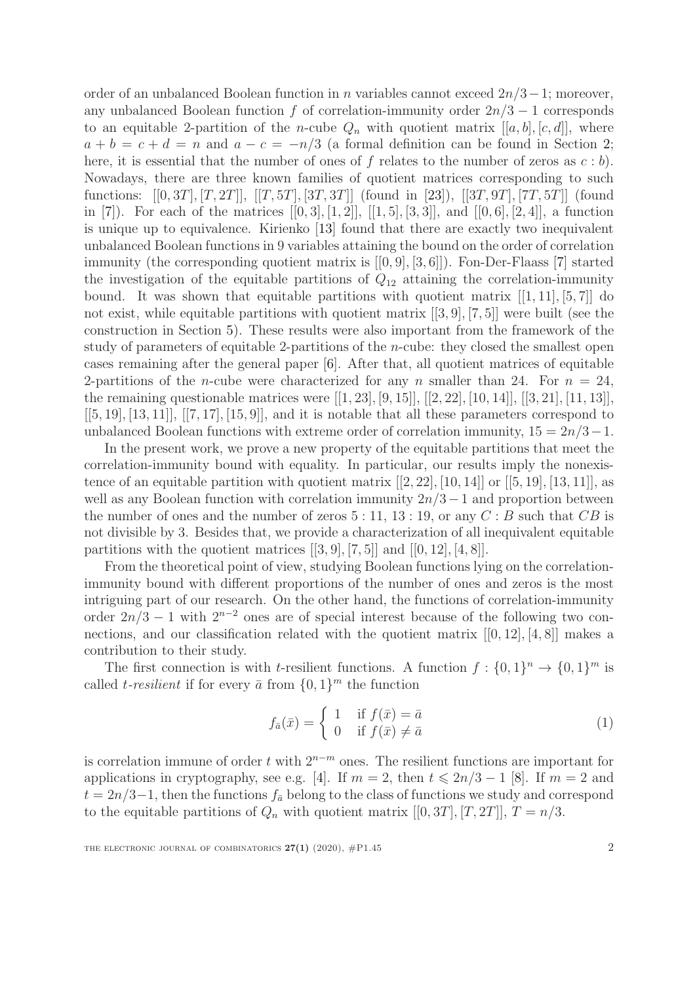order of an unbalanced Boolean function in n variables cannot exceed  $2n/3-1$ ; moreover, any unbalanced Boolean function f of correlation-immunity order  $2n/3 - 1$  corresponds to an equitable 2-partition of the *n*-cube  $Q_n$  with quotient matrix  $[[a, b], [c, d]]$ , where  $a + b = c + d = n$  and  $a - c = -n/3$  (a formal definition can be found in Section [2;](#page-3-0) here, it is essential that the number of ones of f relates to the number of zeros as  $c:b$ . Nowadays, there are three known families of quotient matrices corresponding to such functions:  $[[0, 3T], [T, 2T]], [[T, 5T], [3T, 3T]]$  (found in [\[23\]](#page-23-0)),  $[[3T, 9T], [7T, 5T]]$  (found in [\[7\]](#page-22-1)). For each of the matrices  $[[0,3],[1,2]],[[1,5],[3,3]]$ , and  $[[0,6],[2,4]]$ , a function is unique up to equivalence. Kirienko [\[13\]](#page-23-1) found that there are exactly two inequivalent unbalanced Boolean functions in 9 variables attaining the bound on the order of correlation immunity (the corresponding quotient matrix is [[0, 9], [3, 6]]). Fon-Der-Flaass [\[7\]](#page-22-1) started the investigation of the equitable partitions of  $Q_{12}$  attaining the correlation-immunity bound. It was shown that equitable partitions with quotient matrix  $[[1, 11], [5, 7]]$  do not exist, while equitable partitions with quotient matrix [[3, 9], [7, 5]] were built (see the construction in Section [5\)](#page-8-0). These results were also important from the framework of the study of parameters of equitable 2-partitions of the n-cube: they closed the smallest open cases remaining after the general paper [\[6\]](#page-22-2). After that, all quotient matrices of equitable 2-partitions of the *n*-cube were characterized for any *n* smaller than 24. For  $n = 24$ , the remaining questionable matrices were  $[[1, 23], [9, 15]], [[2, 22], [10, 14]], [[3, 21], [11, 13]],$  $[[5, 19], [13, 11]], [[7, 17], [15, 9]],$  and it is notable that all these parameters correspond to unbalanced Boolean functions with extreme order of correlation immunity,  $15 = 2n/3-1$ .

In the present work, we prove a new property of the equitable partitions that meet the correlation-immunity bound with equality. In particular, our results imply the nonexistence of an equitable partition with quotient matrix  $[[2, 22], [10, 14]]$  or  $[[5, 19], [13, 11]]$ , as well as any Boolean function with correlation immunity  $2n/3-1$  and proportion between the number of ones and the number of zeros  $5:11, 13:19$ , or any  $C: B$  such that  $CB$  is not divisible by 3. Besides that, we provide a characterization of all inequivalent equitable partitions with the quotient matrices  $[[3, 9], [7, 5]]$  and  $[[0, 12], [4, 8]]$ .

From the theoretical point of view, studying Boolean functions lying on the correlationimmunity bound with different proportions of the number of ones and zeros is the most intriguing part of our research. On the other hand, the functions of correlation-immunity order  $2n/3 - 1$  with  $2^{n-2}$  ones are of special interest because of the following two connections, and our classification related with the quotient matrix  $[0, 12]$ ,  $[4, 8]$ ] makes a contribution to their study.

The first connection is with *t*-resilient functions. A function  $f: \{0,1\}^n \to \{0,1\}^m$  is called *t*-resilient if for every  $\bar{a}$  from  $\{0, 1\}^m$  the function

$$
f_{\bar{a}}(\bar{x}) = \begin{cases} 1 & \text{if } f(\bar{x}) = \bar{a} \\ 0 & \text{if } f(\bar{x}) \neq \bar{a} \end{cases}
$$
(1)

is correlation immune of order t with  $2^{n-m}$  ones. The resilient functions are important for applications in cryptography, see e.g. [\[4\]](#page-22-3). If  $m = 2$ , then  $t \leq 2n/3 - 1$  [\[8\]](#page-22-4). If  $m = 2$  and  $t = 2n/3-1$ , then the functions  $f_{\bar{a}}$  belong to the class of functions we study and correspond to the equitable partitions of  $Q_n$  with quotient matrix  $[[0, 3T], [T, 2T]], T = n/3$ .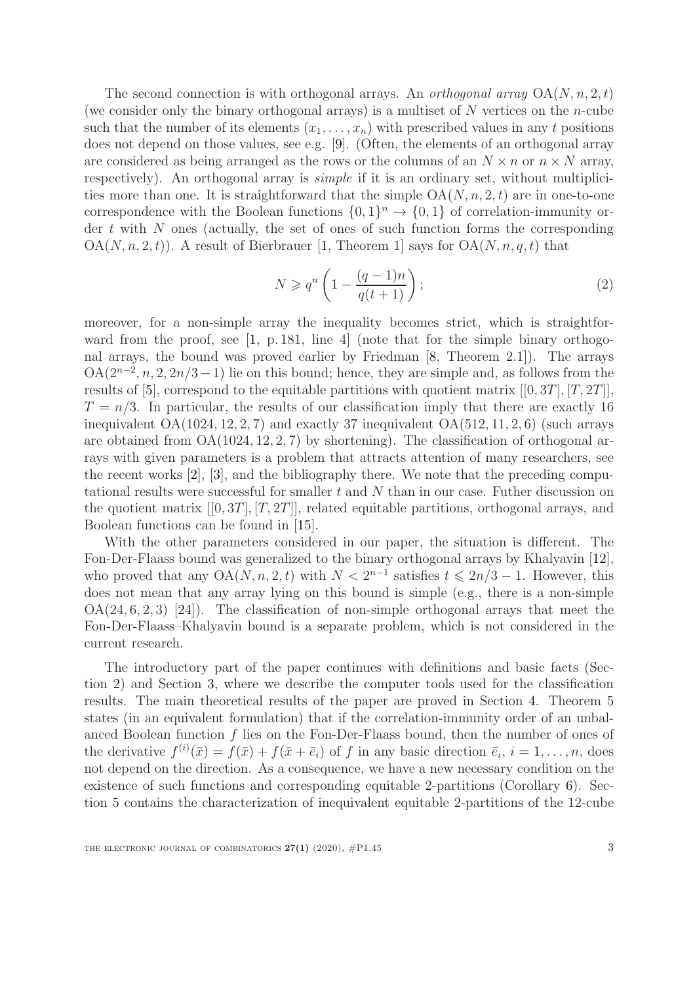The second connection is with orthogonal arrays. An *orthogonal array*  $OA(N, n, 2, t)$ (we consider only the binary orthogonal arrays) is a multiset of  $N$  vertices on the *n*-cube such that the number of its elements  $(x_1, \ldots, x_n)$  with prescribed values in any t positions does not depend on those values, see e.g. [\[9\]](#page-22-5). (Often, the elements of an orthogonal array are considered as being arranged as the rows or the columns of an  $N \times n$  or  $n \times N$  array, respectively). An orthogonal array is *simple* if it is an ordinary set, without multiplicities more than one. It is straightforward that the simple  $OA(N, n, 2, t)$  are in one-to-one correspondence with the Boolean functions  $\{0,1\}^n \to \{0,1\}$  of correlation-immunity order  $t$  with  $N$  ones (actually, the set of ones of such function forms the corresponding  $OA(N, n, 2, t))$ . A result of Bierbrauer [\[1,](#page-22-6) Theorem 1] says for  $OA(N, n, q, t)$  that

<span id="page-2-0"></span>
$$
N \geqslant q^n \left( 1 - \frac{(q-1)n}{q(t+1)} \right); \tag{2}
$$

moreover, for a non-simple array the inequality becomes strict, which is straightfor-ward from the proof, see [\[1,](#page-22-6) p. 181, line 4] (note that for the simple binary orthogonal arrays, the bound was proved earlier by Friedman [\[8,](#page-22-4) Theorem 2.1]). The arrays  $OA(2^{n-2}, n, 2, 2n/3-1)$  lie on this bound; hence, they are simple and, as follows from the results of [\[5\]](#page-22-0), correspond to the equitable partitions with quotient matrix  $[[0, 3T], [T, 2T]]$ ,  $T = n/3$ . In particular, the results of our classification imply that there are exactly 16 inequivalent  $OA(1024, 12, 2, 7)$  and exactly 37 inequivalent  $OA(512, 11, 2, 6)$  (such arrays are obtained from OA(1024, 12, 2, 7) by shortening). The classification of orthogonal arrays with given parameters is a problem that attracts attention of many researchers, see the recent works [\[2\]](#page-22-7), [\[3\]](#page-22-8), and the bibliography there. We note that the preceding computational results were successful for smaller t and N than in our case. Futher discussion on the quotient matrix  $[[0, 3T], [T, 2T]]$ , related equitable partitions, orthogonal arrays, and Boolean functions can be found in [\[15\]](#page-23-2).

With the other parameters considered in our paper, the situation is different. The Fon-Der-Flaass bound was generalized to the binary orthogonal arrays by Khalyavin [\[12\]](#page-23-3), who proved that any  $OA(N, n, 2, t)$  with  $N < 2^{n-1}$  satisfies  $t \le 2n/3 - 1$ . However, this does not mean that any array lying on this bound is simple (e.g., there is a non-simple  $OA(24, 6, 2, 3)$  [\[24\]](#page-23-4)). The classification of non-simple orthogonal arrays that meet the Fon-Der-Flaass–Khalyavin bound is a separate problem, which is not considered in the current research.

The introductory part of the paper continues with definitions and basic facts (Section [2\)](#page-3-0) and Section [3,](#page-6-0) where we describe the computer tools used for the classification results. The main theoretical results of the paper are proved in Section [4.](#page-6-1) Theorem [5](#page-7-0) states (in an equivalent formulation) that if the correlation-immunity order of an unbalanced Boolean function  $f$  lies on the Fon-Der-Flaass bound, then the number of ones of the derivative  $f^{(i)}(\bar{x}) = f(\bar{x}) + f(\bar{x} + \bar{e}_i)$  of f in any basic direction  $\bar{e}_i$ ,  $i = 1, \ldots, n$ , does not depend on the direction. As a consequence, we have a new necessary condition on the existence of such functions and corresponding equitable 2-partitions (Corollary [6\)](#page-8-1). Section [5](#page-8-0) contains the characterization of inequivalent equitable 2-partitions of the 12-cube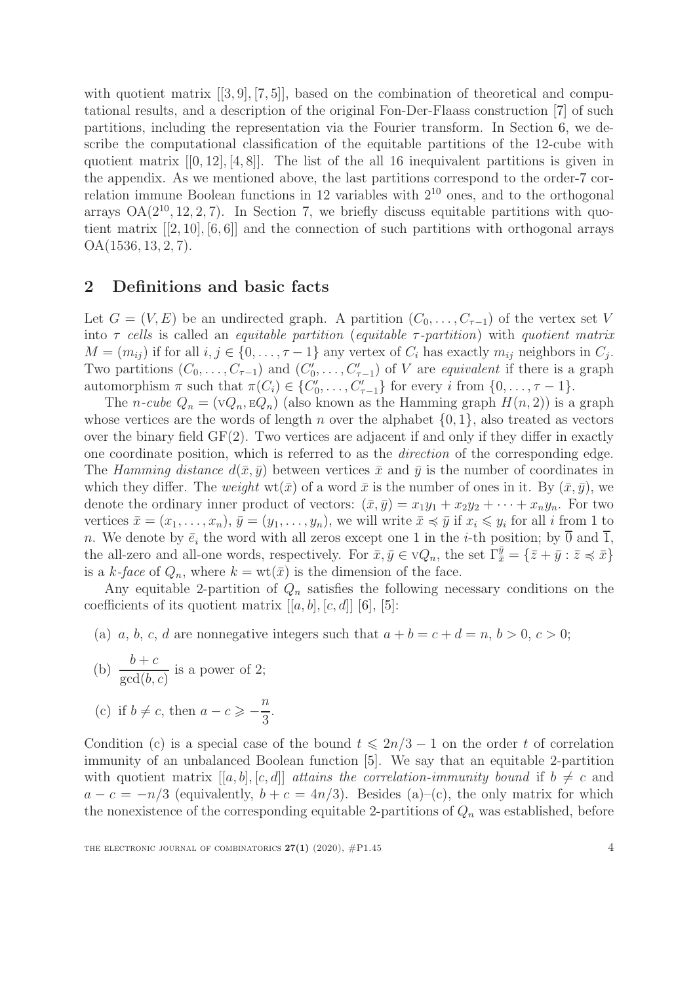with quotient matrix  $[[3, 9], [7, 5]]$ , based on the combination of theoretical and computational results, and a description of the original Fon-Der-Flaass construction [\[7\]](#page-22-1) of such partitions, including the representation via the Fourier transform. In Section [6,](#page-15-0) we describe the computational classification of the equitable partitions of the 12-cube with quotient matrix  $[[0, 12], [4, 8]]$ . The list of the all 16 inequivalent partitions is given in the appendix. As we mentioned above, the last partitions correspond to the order-7 correlation immune Boolean functions in 12 variables with 2<sup>10</sup> ones, and to the orthogonal arrays  $OA(2^{10}, 12, 2, 7)$ . In Section [7,](#page-18-0) we briefly discuss equitable partitions with quotient matrix [[2, 10], [6, 6]] and the connection of such partitions with orthogonal arrays OA(1536, 13, 2, 7).

### <span id="page-3-0"></span>2 Definitions and basic facts

Let  $G = (V, E)$  be an undirected graph. A partition  $(C_0, \ldots, C_{\tau-1})$  of the vertex set V into  $\tau$  cells is called an equitable partition (equitable  $\tau$ -partition) with quotient matrix  $M = (m_{ij})$  if for all  $i, j \in \{0, \ldots, \tau - 1\}$  any vertex of  $C_i$  has exactly  $m_{ij}$  neighbors in  $C_j$ . Two partitions  $(C_0, \ldots, C_{\tau-1})$  and  $(C'_0)$  $C'_0, \ldots, C'_{\tau-1}$  of V are *equivalent* if there is a graph automorphism  $\pi$  such that  $\pi(C_i) \in \{C'_0\}$  $C'_{\tau-1}$ } for every *i* from  $\{0, \ldots, \tau-1\}.$ 

The *n-cube*  $Q_n = (VQ_n, EQ_n)$  (also known as the Hamming graph  $H(n, 2)$ ) is a graph whose vertices are the words of length n over the alphabet  $\{0, 1\}$ , also treated as vectors over the binary field  $GF(2)$ . Two vertices are adjacent if and only if they differ in exactly one coordinate position, which is referred to as the direction of the corresponding edge. The Hamming distance  $d(\bar{x}, \bar{y})$  between vertices  $\bar{x}$  and  $\bar{y}$  is the number of coordinates in which they differ. The *weight*  $wt(\bar{x})$  of a word  $\bar{x}$  is the number of ones in it. By  $(\bar{x}, \bar{y})$ , we denote the ordinary inner product of vectors:  $(\bar{x}, \bar{y}) = x_1y_1 + x_2y_2 + \cdots + x_ny_n$ . For two vertices  $\bar{x} = (x_1, \ldots, x_n)$ ,  $\bar{y} = (y_1, \ldots, y_n)$ , we will write  $\bar{x} \preccurlyeq \bar{y}$  if  $x_i \leq y_i$  for all i from 1 to n. We denote by  $\bar{e}_i$  the word with all zeros except one 1 in the *i*-th position; by  $\bar{0}$  and  $\bar{1}$ , the all-zero and all-one words, respectively. For  $\bar{x}, \bar{y} \in \nu Q_n$ , the set  $\Gamma_{\bar{x}}^{\bar{y}} = {\bar{z} + \bar{y} : \bar{z} \preccurlyeq \bar{x}}$ is a k-face of  $Q_n$ , where  $k = \text{wt}(\bar{x})$  is the dimension of the face.

Any equitable 2-partition of  $Q_n$  satisfies the following necessary conditions on the coefficients of its quotient matrix  $[[a, b], [c, d]]$  [\[6\]](#page-22-2), [\[5\]](#page-22-0):

(a) a, b, c, d are nonnegative integers such that  $a + b = c + d = n$ ,  $b > 0$ ,  $c > 0$ ;

(b) 
$$
\frac{b+c}{\gcd(b,c)}
$$
 is a power of 2;

(c) if 
$$
b \neq c
$$
, then  $a - c \geqslant -\frac{n}{3}$ 

Condition (c) is a special case of the bound  $t \leq 2n/3 - 1$  on the order t of correlation immunity of an unbalanced Boolean function [\[5\]](#page-22-0). We say that an equitable 2-partition with quotient matrix  $[[a, b], [c, d]]$  attains the correlation-immunity bound if  $b \neq c$  and  $a - c = -n/3$  (equivalently,  $b + c = 4n/3$ ). Besides (a)–(c), the only matrix for which the nonexistence of the corresponding equitable 2-partitions of  $Q_n$  was established, before

.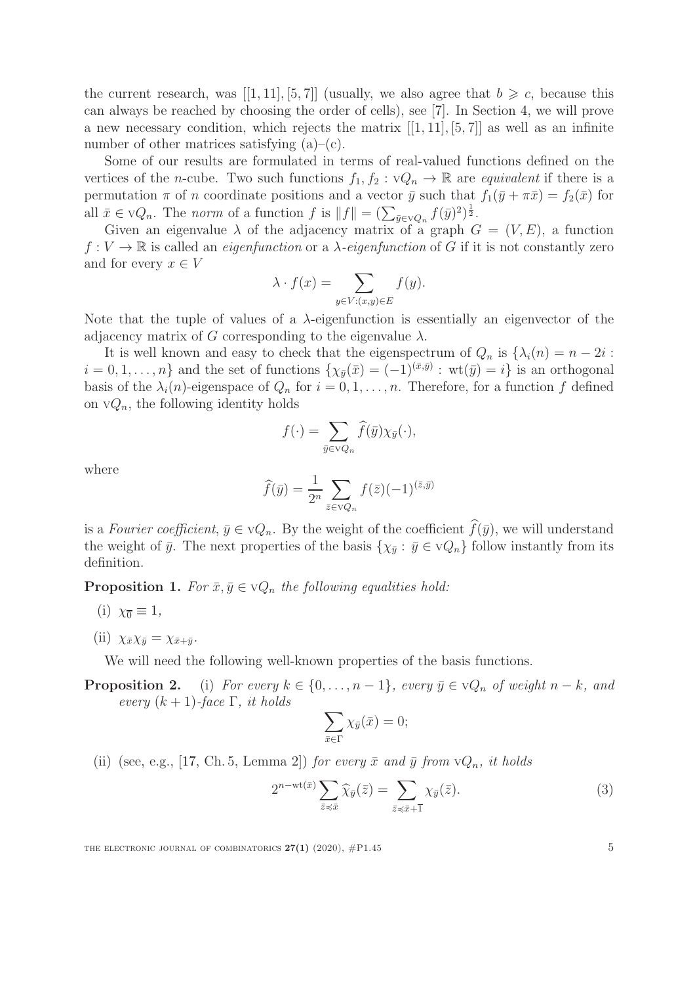the current research, was [[1, 11], [5, 7]] (usually, we also agree that  $b \geq c$ , because this can always be reached by choosing the order of cells), see [\[7\]](#page-22-1). In Section [4,](#page-6-1) we will prove a new necessary condition, which rejects the matrix  $[[1, 11], [5, 7]]$  as well as an infinite number of other matrices satisfying (a)–(c).

Some of our results are formulated in terms of real-valued functions defined on the vertices of the *n*-cube. Two such functions  $f_1, f_2 : VQ_n \to \mathbb{R}$  are *equivalent* if there is a permutation  $\pi$  of n coordinate positions and a vector  $\bar{y}$  such that  $f_1(\bar{y} + \pi \bar{x}) = f_2(\bar{x})$  for all  $\bar{x} \in \nabla Q_n$ . The norm of a function f is  $||f|| = \left(\sum_{\bar{y} \in \nabla Q_n} f(\bar{y})^2\right)^{\frac{1}{2}}$ .

Given an eigenvalue  $\lambda$  of the adjacency matrix of a graph  $G = (V, E)$ , a function  $f: V \to \mathbb{R}$  is called an *eigenfunction* or a  $\lambda$ -eigenfunction of G if it is not constantly zero and for every  $x \in V$ 

$$
\lambda \cdot f(x) = \sum_{y \in V: (x,y) \in E} f(y).
$$

Note that the tuple of values of a  $\lambda$ -eigenfunction is essentially an eigenvector of the adjacency matrix of G corresponding to the eigenvalue  $\lambda$ .

It is well known and easy to check that the eigenspectrum of  $Q_n$  is  $\{\lambda_i(n) = n - 2i :$  $i = 0, 1, \ldots, n$  and the set of functions  $\{\chi_{\bar{y}}(\bar{x}) = (-1)^{(\bar{x}, \bar{y})} : \text{wt}(\bar{y}) = i\}$  is an orthogonal basis of the  $\lambda_i(n)$ -eigenspace of  $Q_n$  for  $i = 0, 1, \ldots, n$ . Therefore, for a function f defined on  $\vee Q_n$ , the following identity holds

$$
f(\cdot) = \sum_{\bar{y} \in \nabla Q_n} \widehat{f}(\bar{y}) \chi_{\bar{y}}(\cdot),
$$

where

$$
\widehat{f}(\bar{y}) = \frac{1}{2^n} \sum_{\bar{z} \in \mathrm{V}Q_n} f(\bar{z}) (-1)^{(\bar{z}, \bar{y})}
$$

is a Fourier coefficient,  $\bar{y} \in \nabla Q_n$ . By the weight of the coefficient  $f(\bar{y})$ , we will understand the weight of  $\bar{y}$ . The next properties of the basis  $\{\chi_{\bar{y}} : \bar{y} \in \nu Q_n\}$  follow instantly from its definition.

<span id="page-4-1"></span>**Proposition 1.** For  $\bar{x}, \bar{y} \in \nabla Q_n$  the following equalities hold:

- (i)  $\chi_{\overline{0}} \equiv 1$ ,
- (ii)  $\chi_{\bar{x}}\chi_{\bar{y}}=\chi_{\bar{x}+\bar{y}}$ .

We will need the following well-known properties of the basis functions.

**Proposition 2.** (i) For every  $k \in \{0, \ldots, n-1\}$ , every  $\bar{y} \in \mathbb{V}Q_n$  of weight  $n-k$ , and every  $(k + 1)$ -face  $\Gamma$ , it holds

$$
\sum_{\bar{x}\in\Gamma}\chi_{\bar{y}}(\bar{x})=0;
$$

(ii) (see, e.g., [\[17,](#page-23-5) Ch. 5, Lemma 2]) for every  $\bar{x}$  and  $\bar{y}$  from  $vQ_n$ , it holds

<span id="page-4-0"></span>
$$
2^{n-\operatorname{wt}(\bar{x})} \sum_{\bar{z} \preccurlyeq \bar{x}} \widehat{\chi}_{\bar{y}}(\bar{z}) = \sum_{\bar{z} \preccurlyeq \bar{x} + \overline{1}} \chi_{\bar{y}}(\bar{z}).\tag{3}
$$

THE ELECTRONIC JOURNAL OF COMBINATORICS  $27(1)$  (2020),  $\#P1.45$  5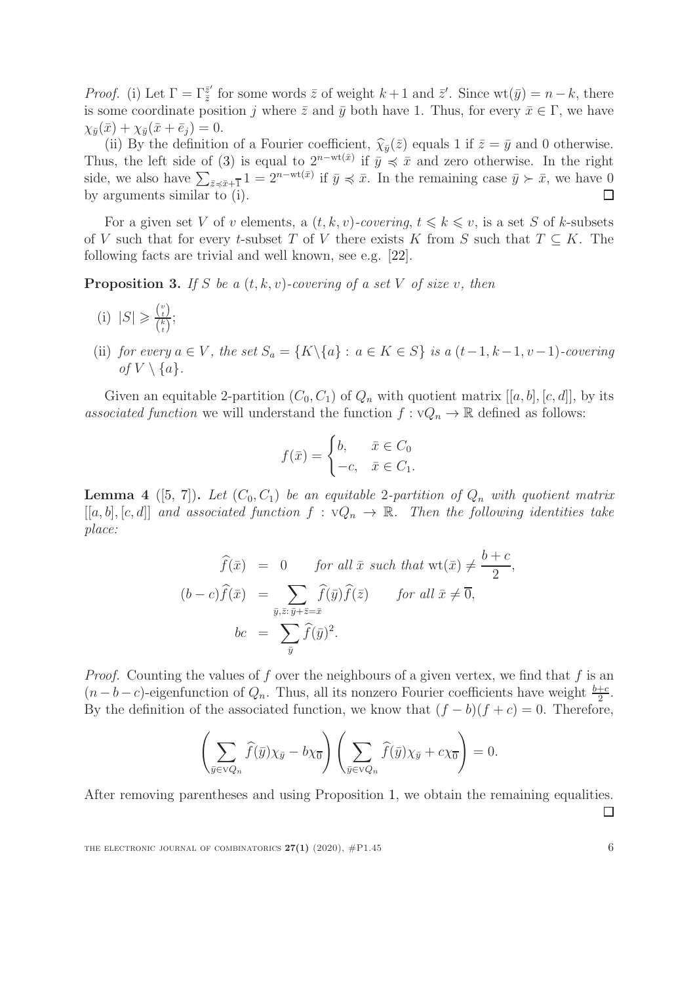*Proof.* (i) Let  $\Gamma = \Gamma_{\bar{z}}^{\bar{z}'}$  $\overline{z}^{\prime}$  for some words  $\overline{z}$  of weight  $k+1$  and  $\overline{z}^{\prime}$ . Since wt $(\overline{y}) = n-k$ , there is some coordinate position j where  $\bar{z}$  and  $\bar{y}$  both have 1. Thus, for every  $\bar{x} \in \Gamma$ , we have  $\chi_{\bar{y}}(\bar{x}) + \chi_{\bar{y}}(\bar{x} + \bar{e}_j) = 0.$ 

(ii) By the definition of a Fourier coefficient,  $\hat{\chi}_{\bar{y}}(\bar{z})$  equals 1 if  $\bar{z} = \bar{y}$  and 0 otherwise. Thus, the left side of [\(3\)](#page-4-0) is equal to  $2^{n-wt(\bar{x})}$  if  $\bar{y} \preccurlyeq \bar{x}$  and zero otherwise. In the right side, we also have  $\sum_{\bar{z}\prec\bar{x}+\bar{1}}1=2^{n-wt(\bar{x})}$  if  $\bar{y}\preccurlyeq\bar{x}$ . In the remaining case  $\bar{y}\succ\bar{x}$ , we have 0 by arguments similar to (i).  $\Box$ 

For a given set V of v elements, a  $(t, k, v)$ -covering,  $t \leq k \leq v$ , is a set S of k-subsets of V such that for every t-subset T of V there exists K from S such that  $T \subseteq K$ . The following facts are trivial and well known, see e.g. [\[22\]](#page-23-6).

<span id="page-5-1"></span>**Proposition 3.** If S be a  $(t, k, v)$ -covering of a set V of size v, then

- (i)  $|S| \geqslant \frac{\binom{v}{t}}{\binom{k}{t}}$  $\frac{\binom{t}{t}}{\binom{k}{t}}$ ;
- (ii) for every  $a \in V$ , the set  $S_a = \{K \setminus \{a\} : a \in K \in S\}$  is a  $(t-1, k-1, v-1)$ -covering of  $V \setminus \{a\}.$

Given an equitable 2-partition  $(C_0, C_1)$  of  $Q_n$  with quotient matrix  $[[a, b], [c, d]]$ , by its associated function we will understand the function  $f: \nabla Q_n \to \mathbb{R}$  defined as follows:

$$
f(\bar{x}) = \begin{cases} b, & \bar{x} \in C_0 \\ -c, & \bar{x} \in C_1. \end{cases}
$$

<span id="page-5-0"></span>**Lemma 4** ([\[5,](#page-22-0) [7\]](#page-22-1)). Let  $(C_0, C_1)$  be an equitable 2-partition of  $Q_n$  with quotient matrix  $[[a, b], [c, d]]$  and associated function  $f : \nabla Q_n \to \mathbb{R}$ . Then the following identities take place:

$$
\widehat{f}(\bar{x}) = 0 \quad \text{for all } \bar{x} \text{ such that } \text{wt}(\bar{x}) \neq \frac{b+c}{2},
$$
\n
$$
(b-c)\widehat{f}(\bar{x}) = \sum_{\bar{y}, \bar{z}:\bar{y}+\bar{z}=\bar{x}} \widehat{f}(\bar{y})\widehat{f}(\bar{z}) \quad \text{for all } \bar{x} \neq \bar{0},
$$
\n
$$
bc = \sum_{\bar{y}} \widehat{f}(\bar{y})^2.
$$

*Proof.* Counting the values of f over the neighbours of a given vertex, we find that f is an  $(n - b - c)$ -eigenfunction of  $Q_n$ . Thus, all its nonzero Fourier coefficients have weight  $\frac{b+c}{2}$ . By the definition of the associated function, we know that  $(f - b)(f + c) = 0$ . Therefore,

$$
\left(\sum_{\bar{y}\in{\rm V}Q_n}\widehat{f}(\bar{y})\chi_{\bar{y}}-b\chi_{\overline{0}}\right)\left(\sum_{\bar{y}\in{\rm V}Q_n}\widehat{f}(\bar{y})\chi_{\bar{y}}+c\chi_{\overline{0}}\right)=0.
$$

After removing parentheses and using Proposition [1,](#page-4-1) we obtain the remaining equalities.  $\Box$ 

THE ELECTRONIC JOURNAL OF COMBINATORICS  $27(1)$  (2020),  $\#P1.45$  6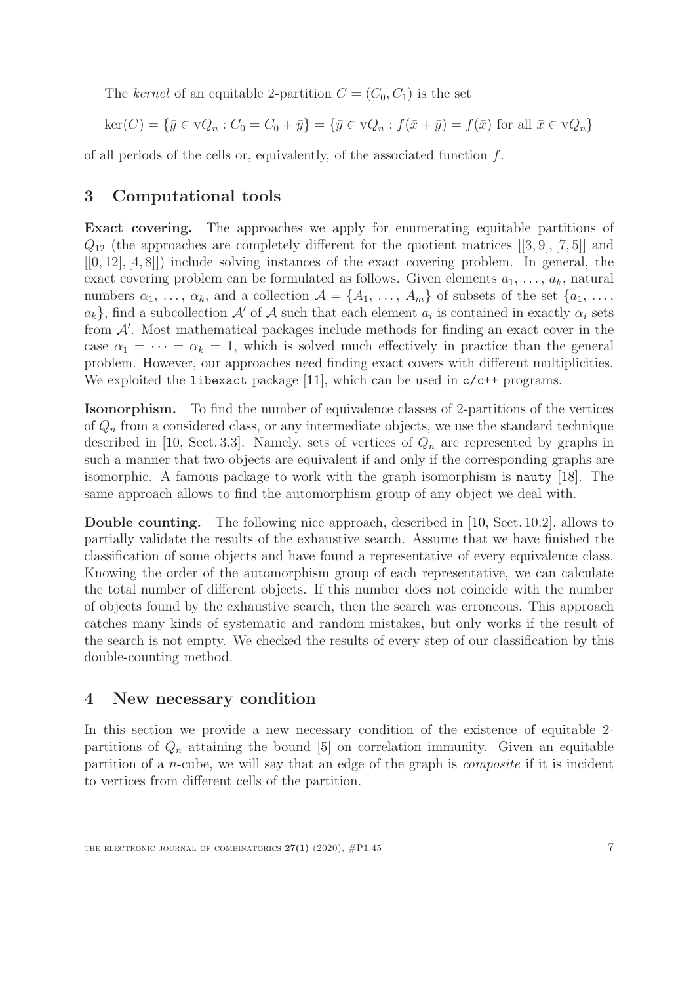The kernel of an equitable 2-partition  $C = (C_0, C_1)$  is the set

$$
\ker(C) = \{ \bar{y} \in \mathbf{V}Q_n : C_0 = C_0 + \bar{y} \} = \{ \bar{y} \in \mathbf{V}Q_n : f(\bar{x} + \bar{y}) = f(\bar{x}) \text{ for all } \bar{x} \in \mathbf{V}Q_n \}
$$

of all periods of the cells or, equivalently, of the associated function  $f$ .

## <span id="page-6-0"></span>3 Computational tools

Exact covering. The approaches we apply for enumerating equitable partitions of  $Q_{12}$  (the approaches are completely different for the quotient matrices [[3, 9], [7, 5]] and  $[0, 12], [4, 8]]$  include solving instances of the exact covering problem. In general, the exact covering problem can be formulated as follows. Given elements  $a_1, \ldots, a_k$ , natural numbers  $\alpha_1, \ldots, \alpha_k$ , and a collection  $\mathcal{A} = \{A_1, \ldots, A_m\}$  of subsets of the set  $\{a_1, \ldots, a_k\}$  $a_k$ , find a subcollection A' of A such that each element  $a_i$  is contained in exactly  $\alpha_i$  sets from  $A'$ . Most mathematical packages include methods for finding an exact cover in the case  $\alpha_1 = \cdots = \alpha_k = 1$ , which is solved much effectively in practice than the general problem. However, our approaches need finding exact covers with different multiplicities. We exploited the liberact package [\[11\]](#page-23-7), which can be used in  $c/c++$  programs.

Isomorphism. To find the number of equivalence classes of 2-partitions of the vertices of  $Q_n$  from a considered class, or any intermediate objects, we use the standard technique described in [\[10,](#page-22-9) Sect. 3.3]. Namely, sets of vertices of  $Q_n$  are represented by graphs in such a manner that two objects are equivalent if and only if the corresponding graphs are isomorphic. A famous package to work with the graph isomorphism is nauty [\[18\]](#page-23-8). The same approach allows to find the automorphism group of any object we deal with.

Double counting. The following nice approach, described in [\[10,](#page-22-9) Sect. 10.2], allows to partially validate the results of the exhaustive search. Assume that we have finished the classification of some objects and have found a representative of every equivalence class. Knowing the order of the automorphism group of each representative, we can calculate the total number of different objects. If this number does not coincide with the number of objects found by the exhaustive search, then the search was erroneous. This approach catches many kinds of systematic and random mistakes, but only works if the result of the search is not empty. We checked the results of every step of our classification by this double-counting method.

## <span id="page-6-1"></span>4 New necessary condition

In this section we provide a new necessary condition of the existence of equitable 2 partitions of  $Q_n$  attaining the bound [\[5\]](#page-22-0) on correlation immunity. Given an equitable partition of a n-cube, we will say that an edge of the graph is composite if it is incident to vertices from different cells of the partition.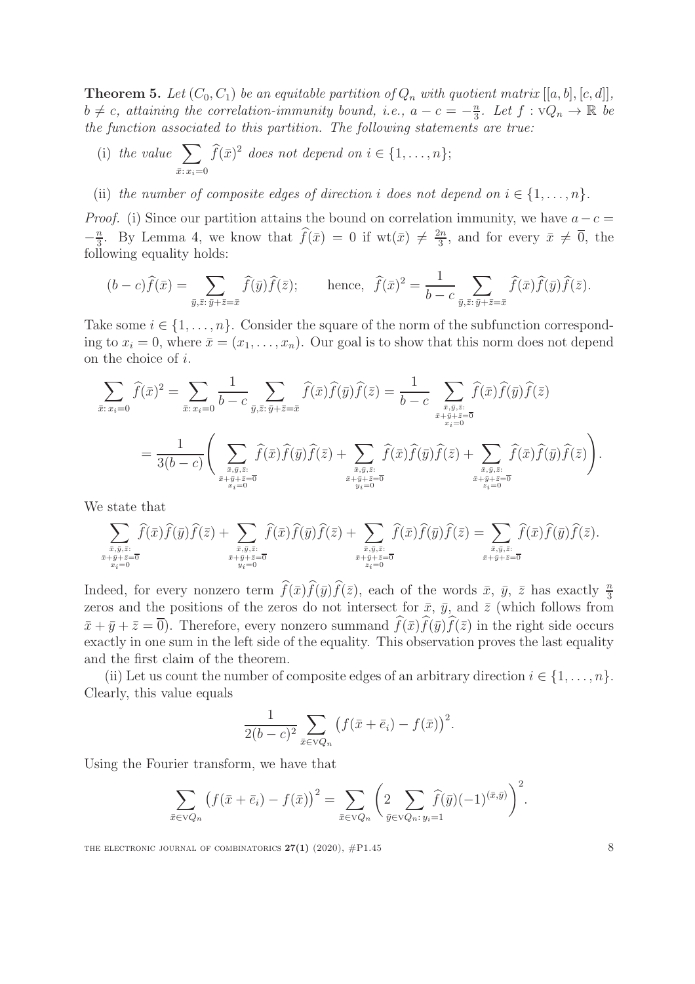<span id="page-7-0"></span>**Theorem 5.** Let  $(C_0, C_1)$  be an equitable partition of  $Q_n$  with quotient matrix  $[[a, b], [c, d]]$ ,  $b \neq c$ , attaining the correlation-immunity bound, i.e.,  $a - c = -\frac{n}{3}$  $\frac{n}{3}$ . Let  $f: \nabla Q_n \to \mathbb{R}$  be the function associated to this partition. The following statements are true:

- (i) the value  $\sum$  $\bar{x}: x_i=0$  $\widehat{f}(\bar{x})^2$  does not depend on  $i \in \{1, \ldots, n\};$
- (ii) the number of composite edges of direction i does not depend on  $i \in \{1, \ldots, n\}$ .

*Proof.* (i) Since our partition attains the bound on correlation immunity, we have  $a-c=$  $-\frac{n}{3}$  $\frac{n}{3}$ . By Lemma [4,](#page-5-0) we know that  $\widehat{f}(\bar{x}) = 0$  if  $wt(\bar{x}) \neq \frac{2n}{3}$  $\frac{2n}{3}$ , and for every  $\bar{x} \neq 0$ , the following equality holds:

$$
(b-c)\widehat{f}(\bar{x}) = \sum_{\bar{y},\bar{z}:\,\bar{y}+\bar{z}=\bar{x}} \widehat{f}(\bar{y})\widehat{f}(\bar{z}); \qquad \text{hence, } \widehat{f}(\bar{x})^2 = \frac{1}{b-c} \sum_{\bar{y},\bar{z}:\,\bar{y}+\bar{z}=\bar{x}} \widehat{f}(\bar{x})\widehat{f}(\bar{y})\widehat{f}(\bar{z}).
$$

Take some  $i \in \{1, \ldots, n\}$ . Consider the square of the norm of the subfunction corresponding to  $x_i = 0$ , where  $\bar{x} = (x_1, \ldots, x_n)$ . Our goal is to show that this norm does not depend on the choice of i.

$$
\sum_{\bar{x}: x_i=0} \widehat{f}(\bar{x})^2 = \sum_{\bar{x}: x_i=0} \frac{1}{b-c} \sum_{\bar{y}, \bar{z}: \bar{y}+\bar{z}=\bar{x}} \widehat{f}(\bar{x}) \widehat{f}(\bar{y}) \widehat{f}(\bar{z}) = \frac{1}{b-c} \sum_{\substack{\bar{x}, \bar{y}, \bar{z}: \bar{x}=\bar{0} \\ \bar{x}+\bar{y}+\bar{z}=\bar{0} \\ x_i=0}} \widehat{f}(\bar{x}) \widehat{f}(\bar{y}) \widehat{f}(\bar{z}) + \sum_{\substack{\bar{x}, \bar{y}, \bar{z}: \bar{x}=\bar{0} \\ \bar{x}+\bar{y}+\bar{z}=\bar{0} \\ \bar{x}+\bar{y}+\bar{z}=\bar{0} \\ \bar{x}+\bar{y}+\bar{z}=\bar{0} \\ y_i=0}} \widehat{f}(\bar{x}) \widehat{f}(\bar{y}) \widehat{f}(\bar{z}) + \sum_{\substack{\bar{x}, \bar{y}, \bar{z}: \bar{x}=\bar{0} \\ \bar{x}+\bar{y}+\bar{z}=\bar{0} \\ y_i=0}} \widehat{f}(\bar{x}) \widehat{f}(\bar{y}) \widehat{f}(\bar{z}) \Big).
$$

We state that

$$
\sum_{\substack{\bar{x},\bar{y},\bar{z}:\\ \bar{x}+\bar{y}+\bar{z}=\overline{0}\\ \bar{x}_{i}=0}} \widehat{f}(\bar{x})\widehat{f}(\bar{y})\widehat{f}(\bar{z}) + \sum_{\substack{\bar{x},\bar{y},\bar{z}:\\ \bar{x}+\bar{y}+\bar{z}=\overline{0}\\ \bar{y}_{i}=0}} \widehat{f}(\bar{x})\widehat{f}(\bar{y})\widehat{f}(\bar{z}) + \sum_{\substack{\bar{x},\bar{y},\bar{z}:\\ \bar{x}+\bar{y}+\bar{z}=\overline{0}}} \widehat{f}(\bar{x})\widehat{f}(\bar{y})\widehat{f}(\bar{z}) = \sum_{\substack{\bar{x},\bar{y},\bar{z}:\\ \bar{x}+\bar{y}+\bar{z}=\overline{0}}} \widehat{f}(\bar{x})\widehat{f}(\bar{y})\widehat{f}(\bar{z}).
$$

Indeed, for every nonzero term  $\widehat{f}(\bar{x})\widehat{f}(\bar{y})\widehat{f}(\bar{z})$ , each of the words  $\bar{x}$ ,  $\bar{y}$ ,  $\bar{z}$  has exactly  $\frac{n}{3}$ zeros and the positions of the zeros do not intersect for  $\bar{x}$ ,  $\bar{y}$ , and  $\bar{z}$  (which follows from  $\bar{x}+\bar{y}+\bar{z}=\overline{0}$ . Therefore, every nonzero summand  $\bar{f}(\bar{x})f(\bar{y})f(\bar{z})$  in the right side occurs exactly in one sum in the left side of the equality. This observation proves the last equality and the first claim of the theorem.

(ii) Let us count the number of composite edges of an arbitrary direction  $i \in \{1, \ldots, n\}$ . Clearly, this value equals

$$
\frac{1}{2(b-c)^2} \sum_{\bar{x} \in \mathrm{V}Q_n} \left( f(\bar{x} + \bar{e}_i) - f(\bar{x}) \right)^2.
$$

Using the Fourier transform, we have that

$$
\sum_{\bar{x}\in VQ_n}\left(f(\bar{x}+\bar{e}_i)-f(\bar{x})\right)^2=\sum_{\bar{x}\in VQ_n}\left(2\sum_{\bar{y}\in VQ_n:\,y_i=1}\hat{f}(\bar{y})(-1)^{(\bar{x},\bar{y})}\right)^2.
$$

THE ELECTRONIC JOURNAL OF COMBINATORICS  $27(1)$  (2020),  $\#P1.45$  8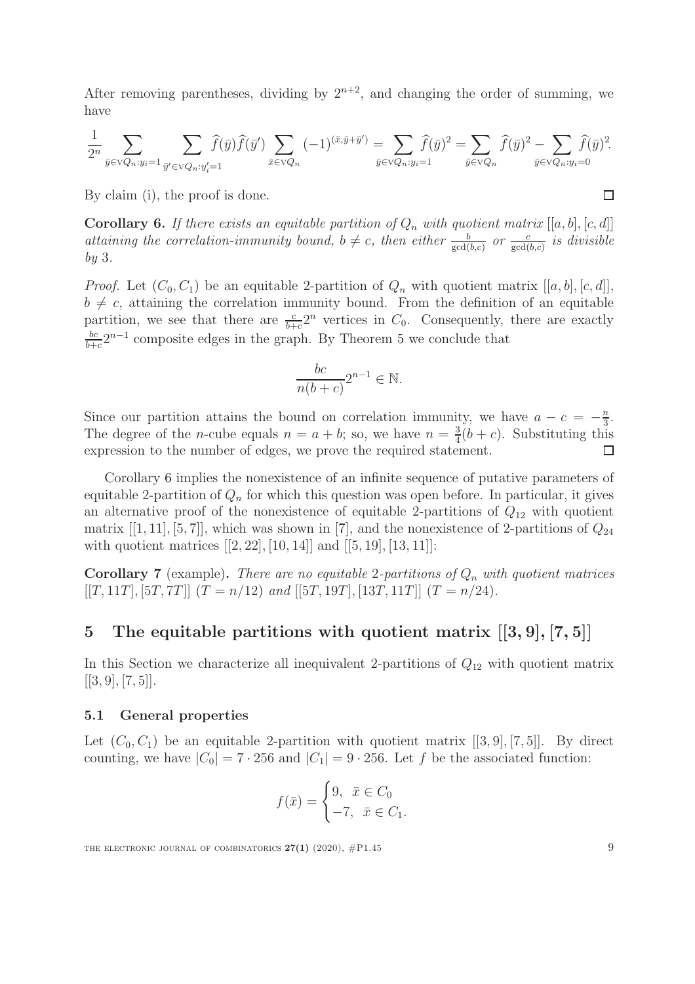After removing parentheses, dividing by  $2^{n+2}$ , and changing the order of summing, we have

$$
\frac{1}{2^n} \sum_{\bar{y} \in \mathcal{V}Q_n: y_i=1} \sum_{\bar{y}' \in \mathcal{V}Q_n: y'_i=1} \widehat{f}(\bar{y}) \widehat{f}(\bar{y}') \sum_{\bar{x} \in \mathcal{V}Q_n} (-1)^{(\bar{x}, \bar{y} + \bar{y}')} = \sum_{\bar{y} \in \mathcal{V}Q_n: y_i=1} \widehat{f}(\bar{y})^2 = \sum_{\bar{y} \in \mathcal{V}Q_n} \widehat{f}(\bar{y})^2 - \sum_{\bar{y} \in \mathcal{V}Q_n: y_i=0} \widehat{f}(\bar{y})^2.
$$

By claim (i), the proof is done.

<span id="page-8-1"></span>**Corollary 6.** If there exists an equitable partition of  $Q_n$  with quotient matrix  $[[a, b], [c, d]]$ attaining the correlation-immunity bound,  $b \neq c$ , then either  $\frac{b}{\gcd(b,c)}$  or  $\frac{c}{\gcd(b,c)}$  is divisible by 3.

*Proof.* Let  $(C_0, C_1)$  be an equitable 2-partition of  $Q_n$  with quotient matrix  $[[a, b], [c, d]],$  $b \neq c$ , attaining the correlation immunity bound. From the definition of an equitable partition, we see that there are  $\frac{c}{b+c}2^n$  vertices in  $C_0$ . Consequently, there are exactly bc  $\frac{bc}{b+c}2^{n-1}$  composite edges in the graph. By Theorem [5](#page-7-0) we conclude that

$$
\frac{bc}{n(b+c)}2^{n-1} \in \mathbb{N}.
$$

Since our partition attains the bound on correlation immunity, we have  $a - c = -\frac{n}{3}$  $\frac{n}{3}$ . The degree of the *n*-cube equals  $n = a + b$ ; so, we have  $n = \frac{3}{4}$  $\frac{3}{4}(b+c)$ . Substituting this expression to the number of edges, we prove the required statement. П

Corollary [6](#page-8-1) implies the nonexistence of an infinite sequence of putative parameters of equitable 2-partition of  $Q_n$  for which this question was open before. In particular, it gives an alternative proof of the nonexistence of equitable 2-partitions of  $Q_{12}$  with quotient matrix  $[[1, 11], [5, 7]]$ , which was shown in [\[7\]](#page-22-1), and the nonexistence of 2-partitions of  $Q_{24}$ with quotient matrices  $[[2, 22], [10, 14]]$  and  $[[5, 19], [13, 11]]$ :

Corollary 7 (example). There are no equitable 2-partitions of  $Q_n$  with quotient matrices  $[[T, 11T], [5T, 7T]]$   $(T = n/12)$  and  $[[5T, 19T], [13T, 11T]]$   $(T = n/24)$ .

## <span id="page-8-0"></span>5 The equitable partitions with quotient matrix  $[3, 9]$ ,  $[7, 5]$

In this Section we characterize all inequivalent 2-partitions of  $Q_{12}$  with quotient matrix  $[[3,9],[7,5]].$ 

#### 5.1 General properties

Let  $(C_0, C_1)$  be an equitable 2-partition with quotient matrix  $[[3, 9], [7, 5]]$ . By direct counting, we have  $|C_0| = 7 \cdot 256$  and  $|C_1| = 9 \cdot 256$ . Let f be the associated function:

$$
f(\bar{x}) = \begin{cases} 9, & \bar{x} \in C_0 \\ -7, & \bar{x} \in C_1. \end{cases}
$$

$$
\sqcup
$$

THE ELECTRONIC JOURNAL OF COMBINATORICS  $27(1)$  (2020),  $\#P1.45$  9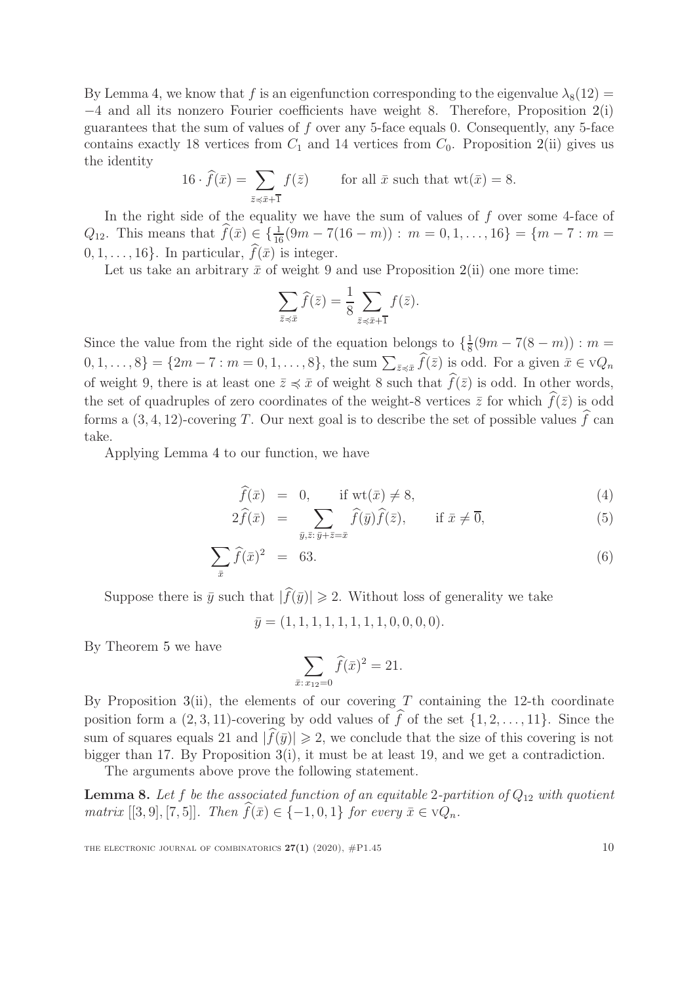By Lemma [4,](#page-5-0) we know that f is an eigenfunction corresponding to the eigenvalue  $\lambda_8(12)$  = −4 and all its nonzero Fourier coefficients have weight 8. Therefore, Proposition [2\(](#page-4-0)i) guarantees that the sum of values of  $f$  over any 5-face equals 0. Consequently, any 5-face contains exactly 18 vertices from  $C_1$  and 14 vertices from  $C_0$ . Proposition [2\(](#page-4-0)ii) gives us the identity

$$
16 \cdot \hat{f}(\bar{x}) = \sum_{\bar{z} \preccurlyeq \bar{x} + \bar{1}} f(\bar{z}) \qquad \text{for all } \bar{x} \text{ such that } \text{wt}(\bar{x}) = 8.
$$

In the right side of the equality we have the sum of values of  $f$  over some 4-face of  $Q_{12}$ . This means that  $\widehat{f}(\bar{x}) \in {\frac{1}{16}(9m - 7(16 - m)) : m = 0, 1, ..., 16} = {m - 7 : m =$  $0, 1, \ldots, 16$ . In particular,  $\widehat{f}(\bar{x})$  is integer.

Let us take an arbitrary  $\bar{x}$  of weight 9 and use Proposition [2\(](#page-4-0)ii) one more time:

$$
\sum_{\bar{z}\preccurlyeq \bar{x}}\widehat{f}(\bar{z}) = \frac{1}{8}\sum_{\bar{z}\preccurlyeq \bar{x}+\bar{1}}f(\bar{z}).
$$

Since the value from the right side of the equation belongs to  $\{\frac{1}{8}\}$  $\frac{1}{8}(9m-7(8-m)) : m =$  $[0, 1, \ldots, 8] = \{2m - 7 : m = 0, 1, \ldots, 8\},\$  the sum  $\sum_{\bar{z} \preccurlyeq \bar{x}} \hat{f}(\bar{z})$  is odd. For a given  $\bar{x} \in \mathcal{V}Q_n$ of weight 9, there is at least one  $\bar{z} \preccurlyeq \bar{x}$  of weight 8 such that  $\hat{f}(\bar{z})$  is odd. In other words, the set of quadruples of zero coordinates of the weight-8 vertices  $\bar{z}$  for which  $\hat{f}(\bar{z})$  is odd forms a  $(3, 4, 12)$ -covering T. Our next goal is to describe the set of possible values  $\hat{f}$  can take.

Applying Lemma [4](#page-5-0) to our function, we have

<span id="page-9-1"></span>
$$
\widehat{f}(\bar{x}) = 0, \quad \text{if wt}(\bar{x}) \neq 8,\tag{4}
$$

$$
2\widehat{f}(\bar{x}) = \sum_{\bar{y}, \bar{z}:\,\bar{y}+\bar{z}=\bar{x}} \widehat{f}(\bar{y})\widehat{f}(\bar{z}), \qquad \text{if } \bar{x}\neq \overline{0}, \tag{5}
$$

$$
\sum_{\bar{x}} \hat{f}(\bar{x})^2 = 63. \tag{6}
$$

Suppose there is  $\bar{y}$  such that  $|\widehat{f}(\bar{y})| \geq 2$ . Without loss of generality we take

 $\overline{y} = (1, 1, 1, 1, 1, 1, 1, 1, 0, 0, 0, 0).$ 

By Theorem [5](#page-7-0) we have

$$
\sum_{\bar{x}: x_{12}=0} \widehat{f}(\bar{x})^2 = 21.
$$

By Proposition [3\(](#page-5-1)ii), the elements of our covering  $T$  containing the 12-th coordinate position form a  $(2, 3, 11)$ -covering by odd values of  $\widehat{f}$  of the set  $\{1, 2, \ldots, 11\}$ . Since the sum of squares equals 21 and  $|\hat{f}(\bar{y})| \geq 2$ , we conclude that the size of this covering is not bigger than 17. By Proposition  $3(i)$  $3(i)$ , it must be at least 19, and we get a contradiction.

The arguments above prove the following statement.

<span id="page-9-0"></span>**Lemma 8.** Let f be the associated function of an equitable 2-partition of  $Q_{12}$  with quotient matrix [[3, 9], [7, 5]]. Then  $\widehat{f}(\bar{x}) \in \{-1, 0, 1\}$  for every  $\bar{x} \in \vee Q_n$ .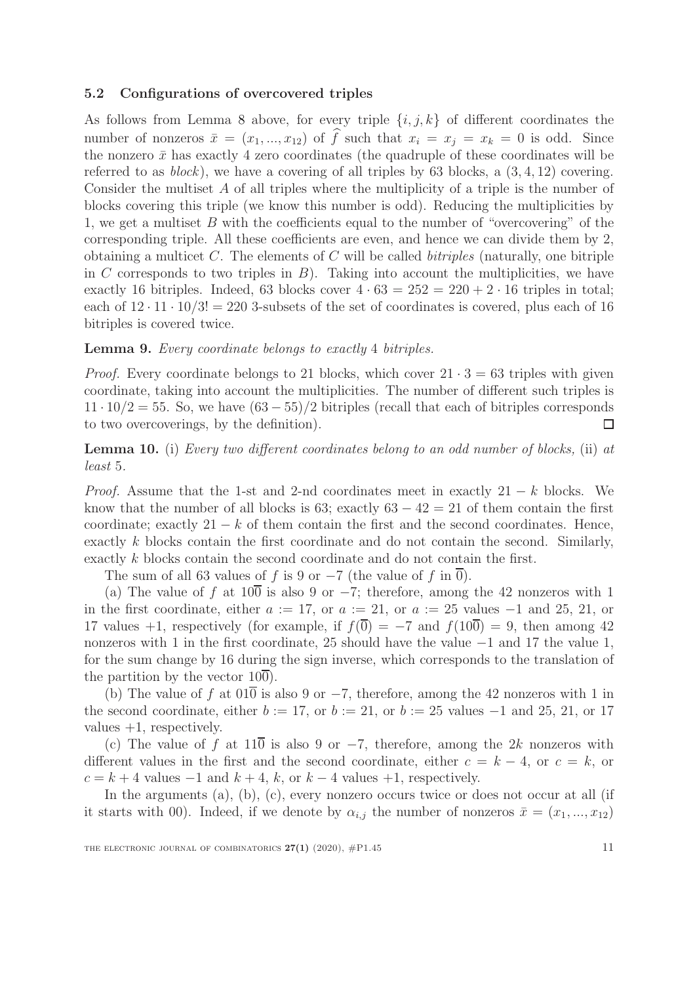#### 5.2 Configurations of overcovered triples

As follows from Lemma [8](#page-9-0) above, for every triple  $\{i, j, k\}$  of different coordinates the number of nonzeros  $\bar{x} = (x_1, ..., x_{12})$  of  $\hat{f}$  such that  $x_i = x_j = x_k = 0$  is odd. Since the nonzero  $\bar{x}$  has exactly 4 zero coordinates (the quadruple of these coordinates will be referred to as  $block$ ), we have a covering of all triples by 63 blocks, a  $(3, 4, 12)$  covering. Consider the multiset A of all triples where the multiplicity of a triple is the number of blocks covering this triple (we know this number is odd). Reducing the multiplicities by 1, we get a multiset  $B$  with the coefficients equal to the number of "overcovering" of the corresponding triple. All these coefficients are even, and hence we can divide them by 2, obtaining a multicet  $C$ . The elements of  $C$  will be called *bitriples* (naturally, one bitriple in C corresponds to two triples in  $B$ ). Taking into account the multiplicities, we have exactly 16 bitriples. Indeed, 63 blocks cover  $4 \cdot 63 = 252 = 220 + 2 \cdot 16$  triples in total; each of  $12 \cdot 11 \cdot 10/3! = 220$  3-subsets of the set of coordinates is covered, plus each of 16 bitriples is covered twice.

#### Lemma 9. Every coordinate belongs to exactly 4 bitriples.

*Proof.* Every coordinate belongs to 21 blocks, which cover  $21 \cdot 3 = 63$  triples with given coordinate, taking into account the multiplicities. The number of different such triples is  $11 \cdot 10/2 = 55$ . So, we have  $(63 - 55)/2$  bitriples (recall that each of bitriples corresponds to two overcoverings, by the definition).  $\Box$ 

<span id="page-10-0"></span>Lemma 10. (i) Every two different coordinates belong to an odd number of blocks, (ii) at least 5.

*Proof.* Assume that the 1-st and 2-nd coordinates meet in exactly  $21 - k$  blocks. We know that the number of all blocks is 63; exactly  $63 - 42 = 21$  of them contain the first coordinate; exactly  $21 - k$  of them contain the first and the second coordinates. Hence, exactly k blocks contain the first coordinate and do not contain the second. Similarly, exactly k blocks contain the second coordinate and do not contain the first.

The sum of all 63 values of f is 9 or  $-7$  (the value of f in  $\overline{0}$ ).

(a) The value of f at  $10\overline{0}$  is also 9 or  $-7$ ; therefore, among the 42 nonzeros with 1 in the first coordinate, either  $a := 17$ , or  $a := 21$ , or  $a := 25$  values  $-1$  and 25, 21, or 17 values +1, respectively (for example, if  $f(\overline{0}) = -7$  and  $f(10\overline{0}) = 9$ , then among 42 nonzeros with 1 in the first coordinate, 25 should have the value −1 and 17 the value 1, for the sum change by 16 during the sign inverse, which corresponds to the translation of the partition by the vector  $10\overline{0}$ .

(b) The value of f at  $01\overline{0}$  is also 9 or  $-7$ , therefore, among the 42 nonzeros with 1 in the second coordinate, either  $b := 17$ , or  $b := 21$ , or  $b := 25$  values  $-1$  and 25, 21, or 17 values  $+1$ , respectively.

(c) The value of f at  $11\overline{0}$  is also 9 or  $-7$ , therefore, among the 2k nonzeros with different values in the first and the second coordinate, either  $c = k - 4$ , or  $c = k$ , or  $c = k + 4$  values  $-1$  and  $k + 4$ , k, or  $k - 4$  values  $+1$ , respectively.

In the arguments (a), (b), (c), every nonzero occurs twice or does not occur at all (if it starts with 00). Indeed, if we denote by  $\alpha_{i,j}$  the number of nonzeros  $\bar{x} = (x_1, ..., x_{12})$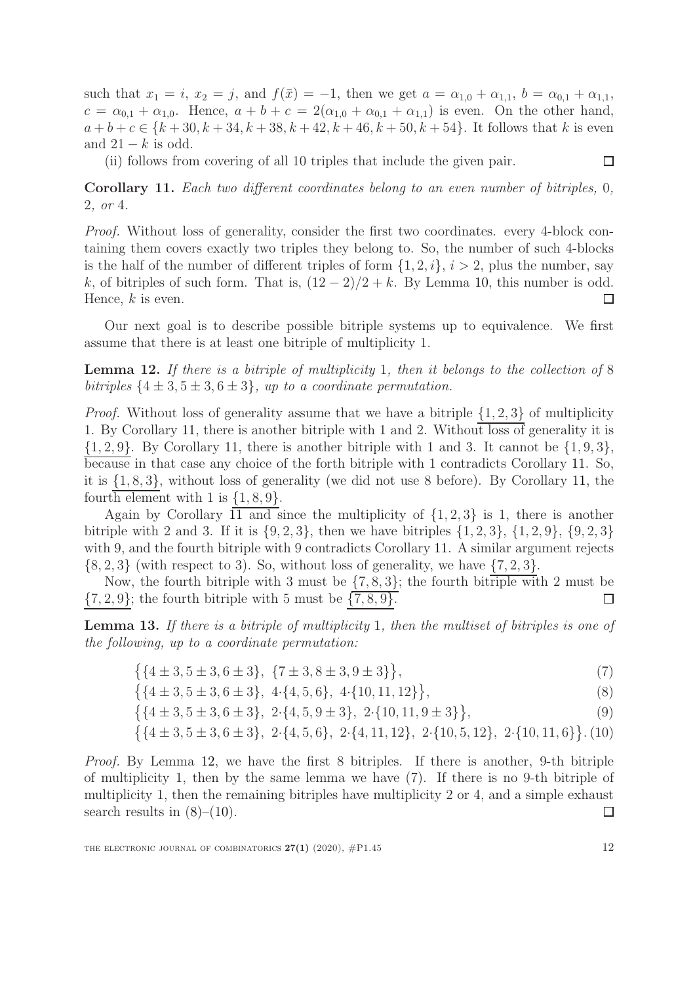such that  $x_1 = i$ ,  $x_2 = j$ , and  $f(\bar{x}) = -1$ , then we get  $a = \alpha_{1,0} + \alpha_{1,1}$ ,  $b = \alpha_{0,1} + \alpha_{1,1}$ ,  $c = \alpha_{0,1} + \alpha_{1,0}$ . Hence,  $a + b + c = 2(\alpha_{1,0} + \alpha_{0,1} + \alpha_{1,1})$  is even. On the other hand,  $a + b + c \in \{k + 30, k + 34, k + 38, k + 42, k + 46, k + 50, k + 54\}.$  It follows that k is even and  $21 - k$  is odd.

(ii) follows from covering of all 10 triples that include the given pair.

<span id="page-11-0"></span>Corollary 11. Each two different coordinates belong to an even number of bitriples, 0, 2, or 4.

Proof. Without loss of generality, consider the first two coordinates. every 4-block containing them covers exactly two triples they belong to. So, the number of such 4-blocks is the half of the number of different triples of form  $\{1, 2, i\}$ ,  $i > 2$ , plus the number, say k, of bitriples of such form. That is,  $(12-2)/2+k$ . By Lemma [10,](#page-10-0) this number is odd. Hence,  $k$  is even. □

Our next goal is to describe possible bitriple systems up to equivalence. We first assume that there is at least one bitriple of multiplicity 1.

<span id="page-11-1"></span>Lemma 12. If there is a bitriple of multiplicity 1, then it belongs to the collection of 8 bitriples  $\{4 \pm 3, 5 \pm 3, 6 \pm 3\}$ , up to a coordinate permutation.

*Proof.* Without loss of generality assume that we have a bitriple  $\{1, 2, 3\}$  of multiplicity 1. By Corollary [11,](#page-11-0) there is another bitriple with 1 and 2. Without loss of generality it is  $\{1, 2, 9\}$ . By Corollary [11,](#page-11-0) there is another bitriple with 1 and 3. It cannot be  $\{1, 9, 3\}$ , because in that case any choice of the forth bitriple with 1 contradicts Corollary [11.](#page-11-0) So, it is {1, 8, 3}, without loss of generality (we did not use 8 before). By Corollary [11,](#page-11-0) the fourth element with 1 is  $\{1, 8, 9\}$ .

Again by Corollary [11](#page-11-0) and since the multiplicity of  $\{1, 2, 3\}$  is 1, there is another bitriple with 2 and 3. If it is  $\{9, 2, 3\}$ , then we have bitriples  $\{1, 2, 3\}$ ,  $\{1, 2, 9\}$ ,  $\{9, 2, 3\}$ with 9, and the fourth bitriple with 9 contradicts Corollary [11.](#page-11-0) A similar argument rejects  $\{8, 2, 3\}$  (with respect to 3). So, without loss of generality, we have  $\{7, 2, 3\}$ .

Now, the fourth bitriple with 3 must be  $\{7, 8, 3\}$ ; the fourth bitriple with 2 must be  $\{7, 2, 9\}$ ; the fourth bitriple with 5 must be  $\{7, 8, 9\}$ .  $\Box$ 

Lemma 13. If there is a bitriple of multiplicity 1, then the multiset of bitriples is one of the following, up to a coordinate permutation:

<span id="page-11-2"></span>
$$
\{4 \pm 3, 5 \pm 3, 6 \pm 3\}, \{7 \pm 3, 8 \pm 3, 9 \pm 3\}\},\tag{7}
$$

$$
\{\{4\pm 3, 5\pm 3, 6\pm 3\},\ 4\cdot\{4, 5, 6\},\ 4\cdot\{10, 11, 12\}\},\tag{8}
$$

$$
\{\{4\pm 3, 5\pm 3, 6\pm 3\}, 2\cdot\{4, 5, 9\pm 3\}, 2\cdot\{10, 11, 9\pm 3\}\},\tag{9}
$$

$$
\{ \{4\pm 3, 5\pm 3, 6\pm 3\}, 2 \cdot \{4, 5, 6\}, 2 \cdot \{4, 11, 12\}, 2 \cdot \{10, 5, 12\}, 2 \cdot \{10, 11, 6\} \}.
$$
 (10)

Proof. By Lemma [12,](#page-11-1) we have the first 8 bitriples. If there is another, 9-th bitriple of multiplicity 1, then by the same lemma we have [\(7\)](#page-11-2). If there is no 9-th bitriple of multiplicity 1, then the remaining bitriples have multiplicity 2 or 4, and a simple exhaust search results in  $(8)–(10)$  $(8)–(10)$ .  $\Box$ 

 $\Box$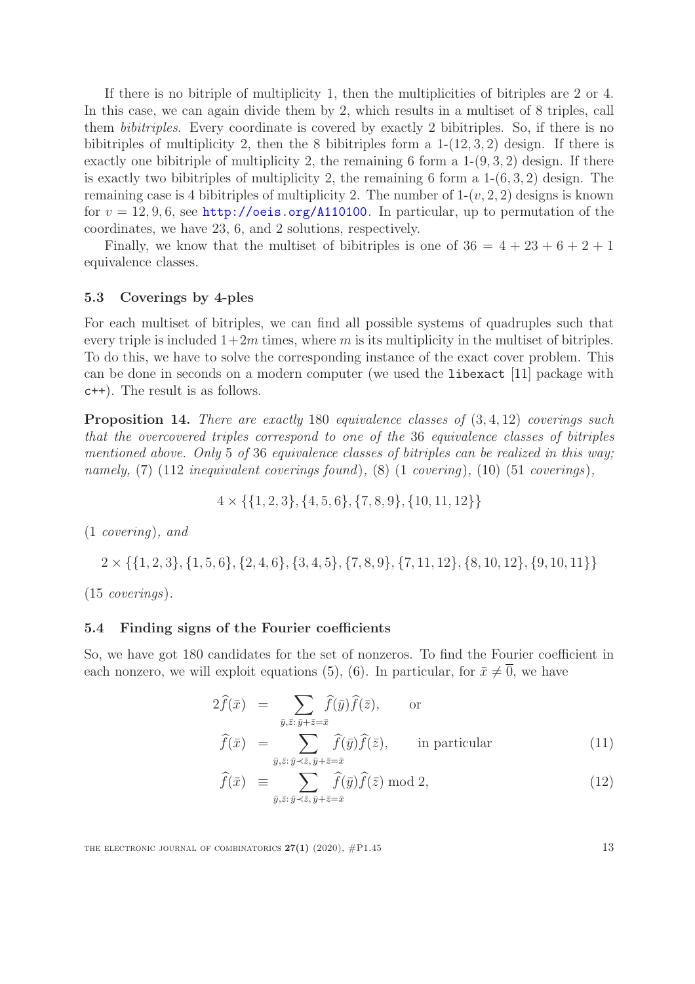If there is no bitriple of multiplicity 1, then the multiplicities of bitriples are 2 or 4. In this case, we can again divide them by 2, which results in a multiset of 8 triples, call them bibitriples. Every coordinate is covered by exactly 2 bibitriples. So, if there is no bibitriples of multiplicity 2, then the 8 bibitriples form a  $1-(12,3,2)$  design. If there is exactly one bibitriple of multiplicity 2, the remaining 6 form a  $1-(9, 3, 2)$  design. If there is exactly two bibitriples of multiplicity 2, the remaining 6 form a  $1-(6,3,2)$  design. The remaining case is 4 bibitriples of multiplicity 2. The number of  $1-(v, 2, 2)$  designs is known for  $v = 12, 9, 6$ , see <http://oeis.org/A110100>. In particular, up to permutation of the coordinates, we have 23, 6, and 2 solutions, respectively.

Finally, we know that the multiset of bibitriples is one of  $36 = 4 + 23 + 6 + 2 + 1$ equivalence classes.

#### 5.3 Coverings by 4-ples

For each multiset of bitriples, we can find all possible systems of quadruples such that every triple is included  $1+2m$  times, where m is its multiplicity in the multiset of bitriples. To do this, we have to solve the corresponding instance of the exact cover problem. This can be done in seconds on a modern computer (we used the libexact [\[11\]](#page-23-7) package with c++). The result is as follows.

<span id="page-12-1"></span>Proposition 14. There are exactly 180 equivalence classes of  $(3, 4, 12)$  coverings such that the overcovered triples correspond to one of the 36 equivalence classes of bitriples mentioned above. Only 5 of 36 equivalence classes of bitriples can be realized in this way; namely,  $(7)$   $(112$  inequivalent coverings found),  $(8)$   $(1 \text{ covering})$ ,  $(10)$   $(51 \text{ coverings})$ ,

$$
4 \times \{ \{1, 2, 3\}, \{4, 5, 6\}, \{7, 8, 9\}, \{10, 11, 12\} \}
$$

(1 covering), and

 $2 \times \{\{1, 2, 3\}, \{1, 5, 6\}, \{2, 4, 6\}, \{3, 4, 5\}, \{7, 8, 9\}, \{7, 11, 12\}, \{8, 10, 12\}, \{9, 10, 11\}\}\$ 

(15 coverings).

#### 5.4 Finding signs of the Fourier coefficients

So, we have got 180 candidates for the set of nonzeros. To find the Fourier coefficient in each nonzero, we will exploit equations [\(5\)](#page-9-1), [\(6\)](#page-9-1). In particular, for  $\bar{x} \neq 0$ , we have

<span id="page-12-0"></span>
$$
2\hat{f}(\bar{x}) = \sum_{\bar{y}, \bar{z}:\bar{y}+\bar{z}=\bar{x}} \hat{f}(\bar{y})\hat{f}(\bar{z}), \quad \text{or}
$$
  

$$
\hat{f}(\bar{x}) = \sum_{\bar{y}, \bar{z}:\bar{y}+\bar{z}=\bar{x}} \hat{f}(\bar{y})\hat{f}(\bar{z}), \quad \text{in particular}
$$
 (11)

$$
\widehat{f}(\bar{x}) \equiv \sum_{\bar{y}, \bar{z}: \bar{y} \prec \bar{z}, \bar{y} + \bar{z} = \bar{x}} \widehat{f}(\bar{y}) \widehat{f}(\bar{z}) \bmod 2,
$$
\n(12)

THE ELECTRONIC JOURNAL OF COMBINATORICS  $27(1)$  (2020),  $\#P1.45$  13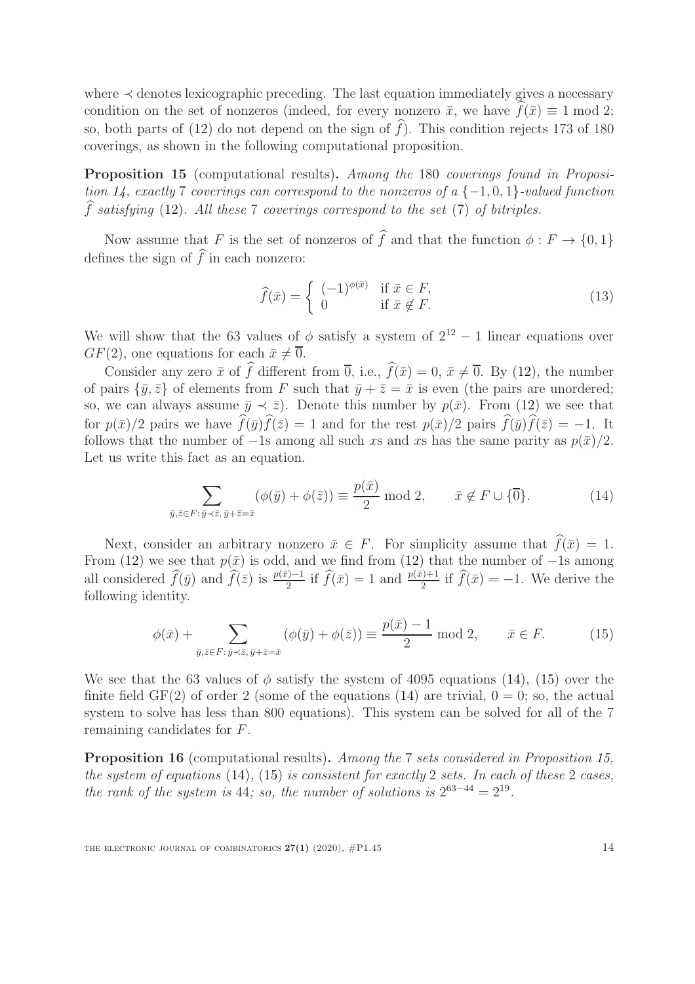where  $\prec$  denotes lexicographic preceding. The last equation immediately gives a necessary condition on the set of nonzeros (indeed, for every nonzero  $\bar{x}$ , we have  $f(\bar{x}) \equiv 1 \text{ mod } 2$ ; so, both parts of  $(12)$  do not depend on the sign of f). This condition rejects 173 of 180 coverings, as shown in the following computational proposition.

<span id="page-13-2"></span>Proposition 15 (computational results). Among the 180 coverings found in Proposi-tion [14,](#page-12-1) exactly 7 coverings can correspond to the nonzeros of a  $\{-1,0,1\}$ -valued function  $\widehat{f}$  satisfying [\(12\)](#page-12-0). All these 7 coverings correspond to the set [\(7\)](#page-11-2) of bitriples.

Now assume that F is the set of nonzeros of  $\hat{f}$  and that the function  $\phi : F \to \{0, 1\}$ defines the sign of  $\hat{f}$  in each nonzero:

<span id="page-13-3"></span>
$$
\widehat{f}(\bar{x}) = \begin{cases}\n(-1)^{\phi(\bar{x})} & \text{if } \bar{x} \in F, \\
0 & \text{if } \bar{x} \notin F.\n\end{cases}
$$
\n(13)

We will show that the 63 values of  $\phi$  satisfy a system of  $2^{12} - 1$  linear equations over  $GF(2)$ , one equations for each  $\bar{x} \neq 0$ .

Consider any zero  $\bar{x}$  of  $\hat{f}$  different from  $\bar{0}$ , i.e.,  $\hat{f}(\bar{x}) = 0$ ,  $\bar{x} \neq \bar{0}$ . By [\(12\)](#page-12-0), the number of pairs  $\{\bar{y}, \bar{z}\}$  of elements from F such that  $\bar{y} + \bar{z} = \bar{x}$  is even (the pairs are unordered; so, we can always assume  $\bar{y} \prec \bar{z}$ . Denote this number by  $p(\bar{x})$ . From [\(12\)](#page-12-0) we see that for  $p(\bar{x})/2$  pairs we have  $\widehat{f}(\bar{y})\widehat{f}(\bar{z}) = 1$  and for the rest  $p(\bar{x})/2$  pairs  $\widehat{f}(\bar{y})\widehat{f}(\bar{z}) = -1$ . It follows that the number of  $-1$ s among all such xs and xs has the same parity as  $p(\bar{x})/2$ . Let us write this fact as an equation.

<span id="page-13-0"></span>
$$
\sum_{\bar{y},\bar{z}\in F:\bar{y}\prec\bar{z},\bar{y}+\bar{z}=\bar{x}} (\phi(\bar{y})+\phi(\bar{z}))\equiv \frac{p(\bar{x})}{2} \bmod 2, \qquad \bar{x}\notin F\cup\{\overline{0}\}.
$$
 (14)

Next, consider an arbitrary nonzero  $\bar{x} \in F$ . For simplicity assume that  $\hat{f}(\bar{x}) = 1$ . From [\(12\)](#page-12-0) we see that  $p(\bar{x})$  is odd, and we find from (12) that the number of  $-1$ s among all considered  $\widehat{f}(\bar{y})$  and  $\widehat{f}(\bar{z})$  is  $\frac{p(\bar{x})-1}{2}$  if  $\widehat{f}(\bar{x}) = 1$  and  $\frac{p(\bar{x})+1}{2}$  if  $\widehat{f}(\bar{x}) = -1$ . We derive the following identity.

<span id="page-13-1"></span>
$$
\phi(\bar{x}) + \sum_{\bar{y}, \bar{z} \in F: \bar{y} \prec \bar{z}, \bar{y} + \bar{z} = \bar{x}} (\phi(\bar{y}) + \phi(\bar{z})) \equiv \frac{p(\bar{x}) - 1}{2} \text{ mod } 2, \qquad \bar{x} \in F. \tag{15}
$$

We see that the 63 values of  $\phi$  satisfy the system of 4095 equations [\(14\)](#page-13-0), [\(15\)](#page-13-1) over the finite field  $GF(2)$  of order 2 (some of the equations [\(14\)](#page-13-0) are trivial,  $0 = 0$ ; so, the actual system to solve has less than 800 equations). This system can be solved for all of the 7 remaining candidates for F.

Proposition 16 (computational results). Among the 7 sets considered in Proposition [15,](#page-13-2) the system of equations [\(14\)](#page-13-0), [\(15\)](#page-13-1) is consistent for exactly 2 sets. In each of these 2 cases, the rank of the system is 44; so, the number of solutions is  $2^{63-44} = 2^{19}$ .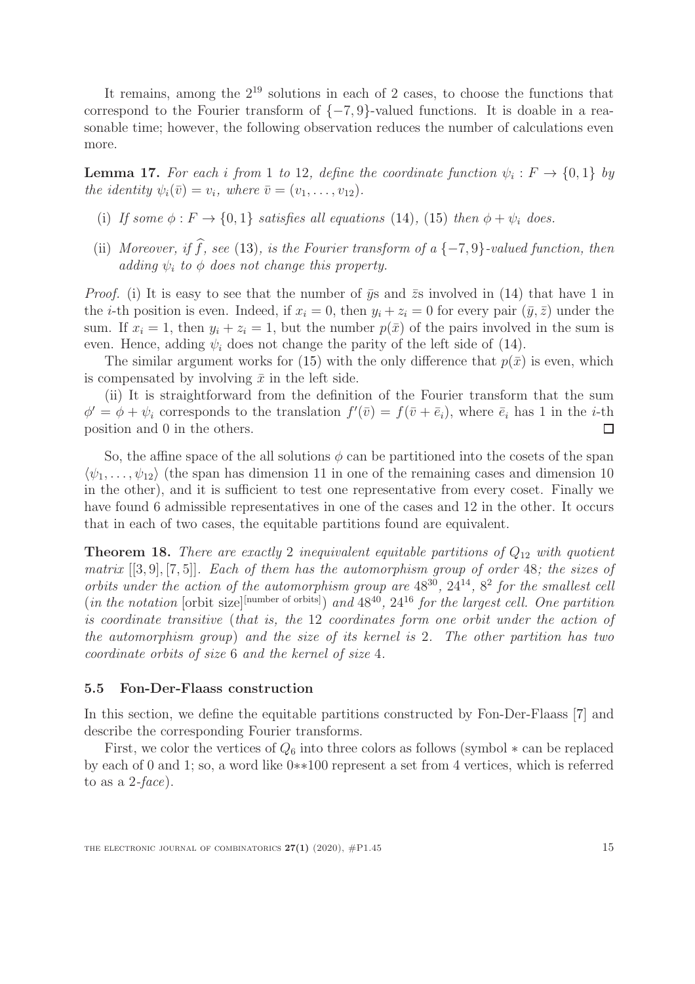It remains, among the  $2^{19}$  solutions in each of 2 cases, to choose the functions that correspond to the Fourier transform of  $\{-7, 9\}$ -valued functions. It is doable in a reasonable time; however, the following observation reduces the number of calculations even more.

**Lemma 17.** For each i from 1 to 12, define the coordinate function  $\psi_i : F \to \{0,1\}$  by the identity  $\psi_i(\bar{v}) = v_i$ , where  $\bar{v} = (v_1, \ldots, v_{12})$ .

- (i) If some  $\phi : F \to \{0,1\}$  satisfies all equations [\(14\)](#page-13-0), [\(15\)](#page-13-1) then  $\phi + \psi_i$  does.
- (ii) Moreover, if  $\hat{f}$ , see [\(13\)](#page-13-3), is the Fourier transform of a {-7,9}-valued function, then adding  $\psi_i$  to  $\phi$  does not change this property.

*Proof.* (i) It is easy to see that the number of  $\bar{y}s$  and  $\bar{z}s$  involved in [\(14\)](#page-13-0) that have 1 in the *i*-th position is even. Indeed, if  $x_i = 0$ , then  $y_i + z_i = 0$  for every pair  $(\bar{y}, \bar{z})$  under the sum. If  $x_i = 1$ , then  $y_i + z_i = 1$ , but the number  $p(\bar{x})$  of the pairs involved in the sum is even. Hence, adding  $\psi_i$  does not change the parity of the left side of [\(14\)](#page-13-0).

The similar argument works for [\(15\)](#page-13-1) with the only difference that  $p(\bar{x})$  is even, which is compensated by involving  $\bar{x}$  in the left side.

(ii) It is straightforward from the definition of the Fourier transform that the sum  $\phi' = \phi + \psi_i$  corresponds to the translation  $f'(\bar{v}) = f(\bar{v} + \bar{e}_i)$ , where  $\bar{e}_i$  has 1 in the *i*-th position and 0 in the others.  $\Box$ 

So, the affine space of the all solutions  $\phi$  can be partitioned into the cosets of the span  $\langle \psi_1, \ldots, \psi_{12} \rangle$  (the span has dimension 11 in one of the remaining cases and dimension 10 in the other), and it is sufficient to test one representative from every coset. Finally we have found 6 admissible representatives in one of the cases and 12 in the other. It occurs that in each of two cases, the equitable partitions found are equivalent.

**Theorem 18.** There are exactly 2 inequivalent equitable partitions of  $Q_{12}$  with quotient matrix [[3, 9], [7, 5]]. Each of them has the automorphism group of order 48; the sizes of orbits under the action of the automorphism group are  $48^{30}$ ,  $24^{14}$ ,  $8^2$  for the smallest cell (in the notation [orbit size]<sup>[number of orbits]</sup>) and  $48^{40}$ ,  $24^{16}$  for the largest cell. One partition is coordinate transitive (that is, the 12 coordinates form one orbit under the action of the automorphism group) and the size of its kernel is 2. The other partition has two coordinate orbits of size 6 and the kernel of size 4.

#### 5.5 Fon-Der-Flaass construction

In this section, we define the equitable partitions constructed by Fon-Der-Flaass [\[7\]](#page-22-1) and describe the corresponding Fourier transforms.

First, we color the vertices of  $Q_6$  into three colors as follows (symbol  $*$  can be replaced by each of 0 and 1; so, a word like 0∗∗100 represent a set from 4 vertices, which is referred to as a  $2$ -face).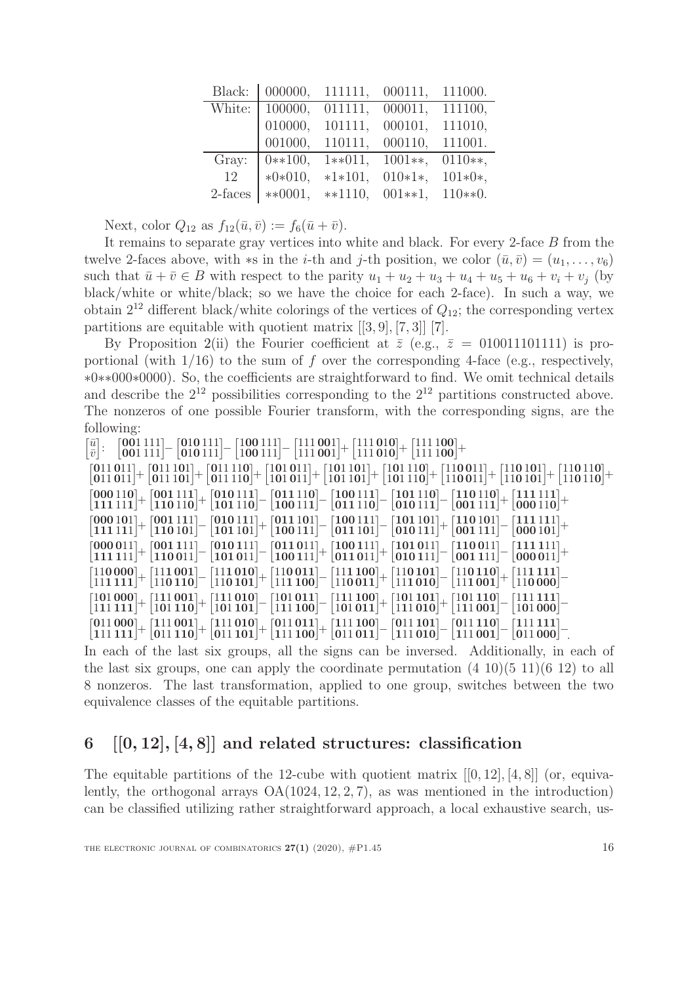| Black:  | 000000,   | 111111.   | 000111,    | 111000.    |
|---------|-----------|-----------|------------|------------|
| White:  | 100000,   | 011111,   | 000011,    | 111100,    |
|         | 010000,   | 101111,   | 000101,    | 111010,    |
|         | 001000,   | 110111,   | 000110,    | 111001.    |
| Gray:   | $0**100,$ | $1**011,$ | $1001**$ , | $0110**$ , |
| 12      | $*0*010,$ | $*1*101,$ | $010*1*,$  | $101*0*,$  |
| 2-faces | $**0001,$ | $**1110,$ | $001**1,$  | $110**0.$  |

Next, color  $Q_{12}$  as  $f_{12}(\bar{u}, \bar{v}) := f_6(\bar{u} + \bar{v}).$ 

It remains to separate gray vertices into white and black. For every 2-face B from the twelve 2-faces above, with  $\ast s$  in the *i*-th and *j*-th position, we color  $(\bar{u}, \bar{v}) = (u_1, \ldots, v_6)$ such that  $\bar{u} + \bar{v} \in B$  with respect to the parity  $u_1 + u_2 + u_3 + u_4 + u_5 + u_6 + v_i + v_j$  (by black/white or white/black; so we have the choice for each 2-face). In such a way, we obtain  $2^{12}$  different black/white colorings of the vertices of  $Q_{12}$ ; the corresponding vertex partitions are equitable with quotient matrix [[3, 9], [7, 3]] [\[7\]](#page-22-1).

By Proposition [2\(](#page-4-0)ii) the Fourier coefficient at  $\bar{z}$  (e.g.,  $\bar{z} = 010011101111$ ) is proportional (with  $1/16$ ) to the sum of f over the corresponding 4-face (e.g., respectively, ∗0∗∗000∗0000). So, the coefficients are straightforward to find. We omit technical details and describe the  $2^{12}$  possibilities corresponding to the  $2^{12}$  partitions constructed above. The nonzeros of one possible Fourier transform, with the corresponding signs, are the following:

| $\begin{bmatrix} \bar{u} \\ \bar{v} \end{bmatrix}: \quad \begin{bmatrix} \textbf{001\,111} \\ \textbf{001\,111} \end{bmatrix} - \begin{bmatrix} \textbf{010\,111} \\ \textbf{010\,111} \end{bmatrix} - \begin{bmatrix} \textbf{100\,111} \\ \textbf{100\,111} \end{bmatrix} - \begin{bmatrix} \textbf{111\,1001} \\ \textbf{111\,001} \end{bmatrix} + \begin{bmatrix} \textbf{111\,100} \\ \textbf{111\,100} \$ |  |  |  |
|-----------------------------------------------------------------------------------------------------------------------------------------------------------------------------------------------------------------------------------------------------------------------------------------------------------------------------------------------------------------------------------------------------------------|--|--|--|

| $\begin{bmatrix} \bar{v} \end{bmatrix}$ $\begin{bmatrix} 001111 \end{bmatrix}$ $\begin{bmatrix} 010111 \end{bmatrix}$ $\begin{bmatrix} 100111 \end{bmatrix}$ $\begin{bmatrix} 111001 \end{bmatrix}$ $\begin{bmatrix} 111010 \end{bmatrix}$ $\begin{bmatrix} 111100 \end{bmatrix}$                                                                                                                                      |                                                                                                                                                                                                                                                                                                                                                                                                                        |
|------------------------------------------------------------------------------------------------------------------------------------------------------------------------------------------------------------------------------------------------------------------------------------------------------------------------------------------------------------------------------------------------------------------------|------------------------------------------------------------------------------------------------------------------------------------------------------------------------------------------------------------------------------------------------------------------------------------------------------------------------------------------------------------------------------------------------------------------------|
|                                                                                                                                                                                                                                                                                                                                                                                                                        | $\begin{bmatrix} 011\,011\ ] + \begin{bmatrix} 011\,101\ ] + \end{bmatrix} + \begin{bmatrix} 011\,110\ ] + \end{bmatrix} + \begin{bmatrix} 101\,011\ ] + \end{bmatrix} + \begin{bmatrix} 101\,101\ ] + \end{bmatrix} + \begin{bmatrix} 101\,110\ ] + \end{bmatrix} + \begin{bmatrix} 110\,011\ ] + \end{bmatrix} + \begin{bmatrix} 110\,101\ ] + \end{bmatrix} + \begin{bmatrix} 110\,110\ ] + \end{bmatrix} + \begin$ |
| $\begin{bmatrix} 000\,110 \ + \ 111\,11 \end{bmatrix} + \begin{bmatrix} 011\,11 \end{bmatrix} + \begin{bmatrix} 010\,111 \ - \end{bmatrix} - \begin{bmatrix} 011\,110 \end{bmatrix} - \begin{bmatrix} 100\,111 \ - \end{bmatrix} - \begin{bmatrix} 101\,110 \end{bmatrix} - \begin{bmatrix} 110\,110 \end{bmatrix} + \begin{bmatrix} 111\,111 \ - \end{bmatrix} + \begin{bmatrix} 111\,111 \ - \end{bmatrix} + \end{b$ |                                                                                                                                                                                                                                                                                                                                                                                                                        |
| $\begin{bmatrix} 000\,101 \ + \ 111\,11 \end{bmatrix} + \begin{bmatrix} 001\,111 \ - \end{bmatrix} - \begin{bmatrix} 010\,111 \ - \end{bmatrix} + \begin{bmatrix} 011\,101 \ - \end{bmatrix} - \begin{bmatrix} 100\,111 \ - \end{bmatrix} - \begin{bmatrix} 101\,101 \ - \end{bmatrix} + \begin{bmatrix} 110\,101 \ - \end{bmatrix} + \begin{bmatrix} 110\,101 \ - \end{bmatrix} - \begin{bmatrix} 111\,111 \ - \end$  |                                                                                                                                                                                                                                                                                                                                                                                                                        |
| $\begin{bmatrix} 000\,011 \ 111\,11 \end{bmatrix} + \begin{bmatrix} 001\,111 \ 110\,011 \end{bmatrix} - \begin{bmatrix} 011\,011 \ 100\,111 \end{bmatrix} + \begin{bmatrix} 100\,111 \ 011\,011 \end{bmatrix} + \begin{bmatrix} 101\,011 \ 010\,111 \end{bmatrix} - \begin{bmatrix} 110\,011 \ 001\,111 \end{bmatrix} - \begin{bmatrix} 111\,111 \ 000\,011 \end{b$                                                    |                                                                                                                                                                                                                                                                                                                                                                                                                        |
| $\left[110\,000\right]_{+}\left[111\,001\right]_{-}\left[111\,010\right]_{-}\left[111\,010\right]_{+}\left[110\,011\right]_{-}\left[111\,100\right]_{-}\left[111\,001\right]_{+}\left[110\,101\right]_{-}\left[110\,100\right]_{-}\left[111\,100\right]_{+}\left[111\,100\right]_{-}$                                                                                                                                  |                                                                                                                                                                                                                                                                                                                                                                                                                        |
| $\begin{bmatrix} 101\,000\end{bmatrix}+\begin{bmatrix} 111\,001\end{bmatrix}+\begin{bmatrix} 111\,010\end{bmatrix}-\begin{bmatrix} 101\,011\end{bmatrix}-\begin{bmatrix} 111\,100\end{bmatrix}+\begin{bmatrix} 101\,101\end{bmatrix}+\begin{bmatrix} 101\,101\end{bmatrix}+\begin{bmatrix} 101\,110\end{bmatrix}-\begin{bmatrix} 111\,111\end{bmatrix} \ \begin{bmatrix} 111\,100\end{bmatrix}$                        |                                                                                                                                                                                                                                                                                                                                                                                                                        |
| $\begin{bmatrix} 011\,000\ +\ 111\,001\ +\ 011\,110 \end{bmatrix} + \begin{bmatrix} 111\,010\ +\ 011\,101\ \end{bmatrix} + \begin{bmatrix} 011\,011\ +\ 111\,100\ \end{bmatrix} + \begin{bmatrix} 111\,100\ -\ 011\,011\ \end{bmatrix} - \begin{bmatrix} 011\,101\ -\ 111\,010\ \end{bmatrix} - \begin{bmatrix} 011\,110\ -\ 011\,000\ \end{bmatrix}$                                                                  |                                                                                                                                                                                                                                                                                                                                                                                                                        |

In each of the last six groups, all the signs can be inversed. Additionally, in each of the last six groups, one can apply the coordinate permutation  $(4\ 10)(5\ 11)(6\ 12)$  to all 8 nonzeros. The last transformation, applied to one group, switches between the two equivalence classes of the equitable partitions.

# <span id="page-15-0"></span>6  $[0, 12], [4, 8]$  and related structures: classification

The equitable partitions of the 12-cube with quotient matrix  $[[0, 12], [4, 8]]$  (or, equivalently, the orthogonal arrays  $OA(1024, 12, 2, 7)$ , as was mentioned in the introduction) can be classified utilizing rather straightforward approach, a local exhaustive search, us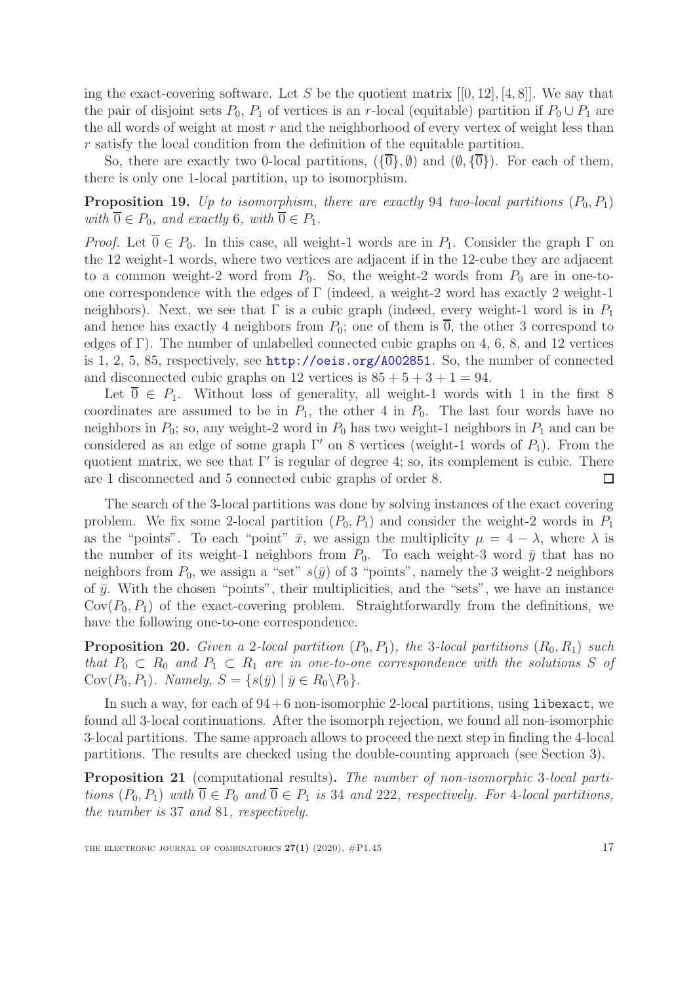ing the exact-covering software. Let S be the quotient matrix  $[[0, 12], [4, 8]]$ . We say that the pair of disjoint sets  $P_0$ ,  $P_1$  of vertices is an r-local (equitable) partition if  $P_0 \cup P_1$  are the all words of weight at most  $r$  and the neighborhood of every vertex of weight less than r satisfy the local condition from the definition of the equitable partition.

So, there are exactly two 0-local partitions,  $(\{\overline{0}\}, \emptyset)$  and  $(\emptyset, \{\overline{0}\})$ . For each of them, there is only one 1-local partition, up to isomorphism.

<span id="page-16-0"></span>**Proposition 19.** Up to isomorphism, there are exactly 94 two-local partitions  $(P_0, P_1)$ with  $\overline{0} \in P_0$ , and exactly 6, with  $\overline{0} \in P_1$ .

*Proof.* Let  $\overline{0} \in P_0$ . In this case, all weight-1 words are in  $P_1$ . Consider the graph  $\Gamma$  on the 12 weight-1 words, where two vertices are adjacent if in the 12-cube they are adjacent to a common weight-2 word from  $P_0$ . So, the weight-2 words from  $P_0$  are in one-toone correspondence with the edges of Γ (indeed, a weight-2 word has exactly 2 weight-1 neighbors). Next, we see that  $\Gamma$  is a cubic graph (indeed, every weight-1 word is in  $P_1$ and hence has exactly 4 neighbors from  $P_0$ ; one of them is  $\overline{0}$ , the other 3 correspond to edges of Γ). The number of unlabelled connected cubic graphs on 4, 6, 8, and 12 vertices is 1, 2, 5, 85, respectively, see <http://oeis.org/A002851>. So, the number of connected and disconnected cubic graphs on 12 vertices is  $85 + 5 + 3 + 1 = 94$ .

Let  $\overline{0} \in P_1$ . Without loss of generality, all weight-1 words with 1 in the first 8 coordinates are assumed to be in  $P_1$ , the other 4 in  $P_0$ . The last four words have no neighbors in  $P_0$ ; so, any weight-2 word in  $P_0$  has two weight-1 neighbors in  $P_1$  and can be considered as an edge of some graph  $\Gamma'$  on 8 vertices (weight-1 words of  $P_1$ ). From the quotient matrix, we see that Γ′ is regular of degree 4; so, its complement is cubic. There are 1 disconnected and 5 connected cubic graphs of order 8.  $\Box$ 

The search of the 3-local partitions was done by solving instances of the exact covering problem. We fix some 2-local partition  $(P_0, P_1)$  and consider the weight-2 words in  $P_1$ as the "points". To each "point"  $\bar{x}$ , we assign the multiplicity  $\mu = 4 - \lambda$ , where  $\lambda$  is the number of its weight-1 neighbors from  $P_0$ . To each weight-3 word  $\bar{y}$  that has no neighbors from  $P_0$ , we assign a "set"  $s(\bar{y})$  of 3 "points", namely the 3 weight-2 neighbors of  $\bar{y}$ . With the chosen "points", their multiplicities, and the "sets", we have an instance  $Cov(P_0, P_1)$  of the exact-covering problem. Straightforwardly from the definitions, we have the following one-to-one correspondence.

**Proposition 20.** Given a 2-local partition  $(P_0, P_1)$ , the 3-local partitions  $(R_0, R_1)$  such that  $P_0 \subset R_0$  and  $P_1 \subset R_1$  are in one-to-one correspondence with the solutions S of Cov $(P_0, P_1)$ . Namely,  $S = \{s(\bar{y}) | \bar{y} \in R_0 \backslash P_0\}.$ 

In such a way, for each of  $94+6$  non-isomorphic 2-local partitions, using libexact, we found all 3-local continuations. After the isomorph rejection, we found all non-isomorphic 3-local partitions. The same approach allows to proceed the next step in finding the 4-local partitions. The results are checked using the double-counting approach (see Section [3\)](#page-6-0).

<span id="page-16-1"></span>Proposition 21 (computational results). The number of non-isomorphic 3-local partitions  $(P_0, P_1)$  with  $\overline{0} \in P_0$  and  $\overline{0} \in P_1$  is 34 and 222, respectively. For 4-local partitions, the number is 37 and 81, respectively.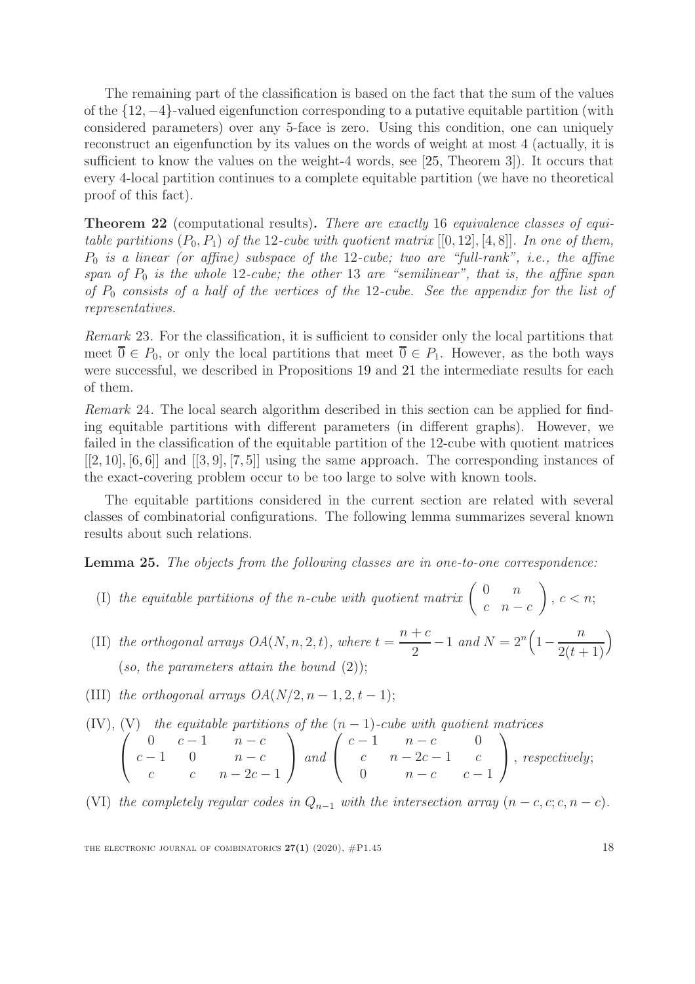The remaining part of the classification is based on the fact that the sum of the values of the {12, −4}-valued eigenfunction corresponding to a putative equitable partition (with considered parameters) over any 5-face is zero. Using this condition, one can uniquely reconstruct an eigenfunction by its values on the words of weight at most 4 (actually, it is sufficient to know the values on the weight-4 words, see [\[25,](#page-23-9) Theorem 3]). It occurs that every 4-local partition continues to a complete equitable partition (we have no theoretical proof of this fact).

Theorem 22 (computational results). There are exactly 16 equivalence classes of equitable partitions  $(P_0, P_1)$  of the 12-cube with quotient matrix  $[[0, 12], [4, 8]]$ . In one of them,  $P_0$  is a linear (or affine) subspace of the 12-cube; two are "full-rank", i.e., the affine span of  $P_0$  is the whole 12-cube; the other 13 are "semilinear", that is, the affine span of  $P_0$  consists of a half of the vertices of the 12-cube. See the appendix for the list of representatives.

Remark 23. For the classification, it is sufficient to consider only the local partitions that meet  $\overline{0} \in P_0$ , or only the local partitions that meet  $\overline{0} \in P_1$ . However, as the both ways were successful, we described in Propositions [19](#page-16-0) and [21](#page-16-1) the intermediate results for each of them.

Remark 24. The local search algorithm described in this section can be applied for finding equitable partitions with different parameters (in different graphs). However, we failed in the classification of the equitable partition of the 12-cube with quotient matrices  $[2, 10], [6, 6]$  and  $[3, 9], [7, 5]$  using the same approach. The corresponding instances of the exact-covering problem occur to be too large to solve with known tools.

The equitable partitions considered in the current section are related with several classes of combinatorial configurations. The following lemma summarizes several known results about such relations.

Lemma 25. The objects from the following classes are in one-to-one correspondence:

- (I) the equitable partitions of the n-cube with quotient matrix  $\begin{pmatrix} 0 & n \\ n & n \end{pmatrix}$  $c \quad n - c$  $\setminus$  $,c < n;$
- (II) the orthogonal arrays  $OA(N, n, 2, t)$ , where  $t =$  $n + c$ 2  $-1$  and  $N = 2^n \left(1 - \frac{1}{2^n}\right)$ n  $2(t + 1)$  $\overline{ }$ (so, the parameters attain the bound  $(2)$ );
- (III) the orthogonal arrays  $OA(N/2, n-1, 2, t-1);$

(IV), (V) the equitable partitions of the 
$$
(n-1)
$$
-cube with quotient matrices  
\n
$$
\begin{pmatrix}\n0 & c-1 & n-c \\
c-1 & 0 & n-c \\
c & c & n-2c-1\n\end{pmatrix}
$$
 and 
$$
\begin{pmatrix}\nc-1 & n-c & 0 \\
c & n-2c-1 & c \\
0 & n-c & c-1\n\end{pmatrix}
$$
, respectively;

(VI) the completely regular codes in  $Q_{n-1}$  with the intersection array  $(n - c, c; c, n - c)$ .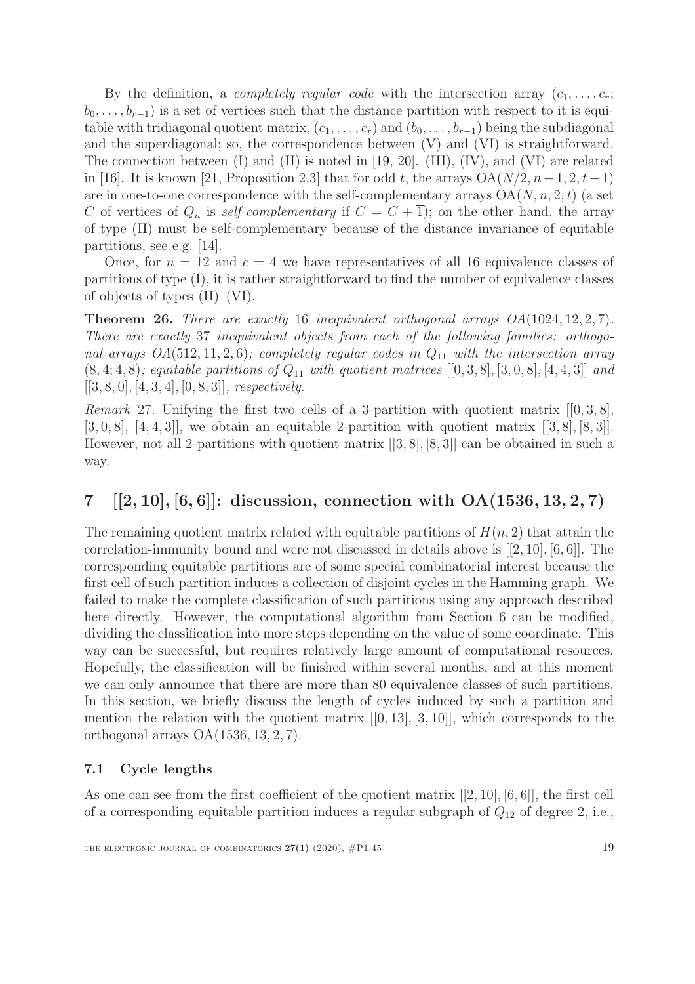By the definition, a *completely regular code* with the intersection array  $(c_1, \ldots, c_r;$  $b_0, \ldots, b_{r-1}$ ) is a set of vertices such that the distance partition with respect to it is equitable with tridiagonal quotient matrix,  $(c_1, \ldots, c_r)$  and  $(b_0, \ldots, b_{r-1})$  being the subdiagonal and the superdiagonal; so, the correspondence between (V) and (VI) is straightforward. The connection between  $(I)$  and  $(II)$  is noted in [\[19,](#page-23-10) [20\]](#page-23-11).  $(III)$ ,  $(IV)$ , and  $(VI)$  are related in [\[16\]](#page-23-12). It is known [\[21,](#page-23-13) Proposition 2.3] that for odd t, the arrays  $OA(N/2, n-1, 2, t-1)$ are in one-to-one correspondence with the self-complementary arrays  $OA(N, n, 2, t)$  (a set C of vertices of  $Q_n$  is self-complementary if  $C = C + \overline{1}$ ; on the other hand, the array of type (II) must be self-complementary because of the distance invariance of equitable partitions, see e.g. [\[14\]](#page-23-14).

Once, for  $n = 12$  and  $c = 4$  we have representatives of all 16 equivalence classes of partitions of type (I), it is rather straightforward to find the number of equivalence classes of objects of types (II)–(VI).

**Theorem 26.** There are exactly 16 inequivalent orthogonal arrays  $OA(1024, 12, 2, 7)$ . There are exactly 37 inequivalent objects from each of the following families: orthogonal arrays  $OA(512, 11, 2, 6)$ ; completely regular codes in  $Q_{11}$  with the intersection array  $(8, 4; 4, 8)$ ; equitable partitions of  $Q_{11}$  with quotient matrices  $[0, 3, 8]$ ,  $[3, 0, 8]$ ,  $[4, 4, 3]$  and  $[3, 8, 0], [4, 3, 4], [0, 8, 3],$  respectively.

<span id="page-18-1"></span>*Remark* 27. Unifying the first two cells of a 3-partition with quotient matrix  $[0, 3, 8]$ ,  $[3, 0, 8]$ ,  $[4, 4, 3]$ , we obtain an equitable 2-partition with quotient matrix  $[3, 8]$ ,  $[8, 3]$ . However, not all 2-partitions with quotient matrix [[3, 8], [8, 3]] can be obtained in such a way.

# <span id="page-18-0"></span>7  $[2, 10], [6, 6]$ : discussion, connection with  $OA(1536, 13, 2, 7)$

The remaining quotient matrix related with equitable partitions of  $H(n, 2)$  that attain the correlation-immunity bound and were not discussed in details above is  $[[2, 10], [6, 6]]$ . The corresponding equitable partitions are of some special combinatorial interest because the first cell of such partition induces a collection of disjoint cycles in the Hamming graph. We failed to make the complete classification of such partitions using any approach described here directly. However, the computational algorithm from Section [6](#page-15-0) can be modified, dividing the classification into more steps depending on the value of some coordinate. This way can be successful, but requires relatively large amount of computational resources. Hopefully, the classification will be finished within several months, and at this moment we can only announce that there are more than 80 equivalence classes of such partitions. In this section, we briefly discuss the length of cycles induced by such a partition and mention the relation with the quotient matrix  $[[0, 13], [3, 10]]$ , which corresponds to the orthogonal arrays  $OA(1536, 13, 2, 7)$ .

### 7.1 Cycle lengths

As one can see from the first coefficient of the quotient matrix [[2, 10], [6, 6]], the first cell of a corresponding equitable partition induces a regular subgraph of  $Q_{12}$  of degree 2, i.e.,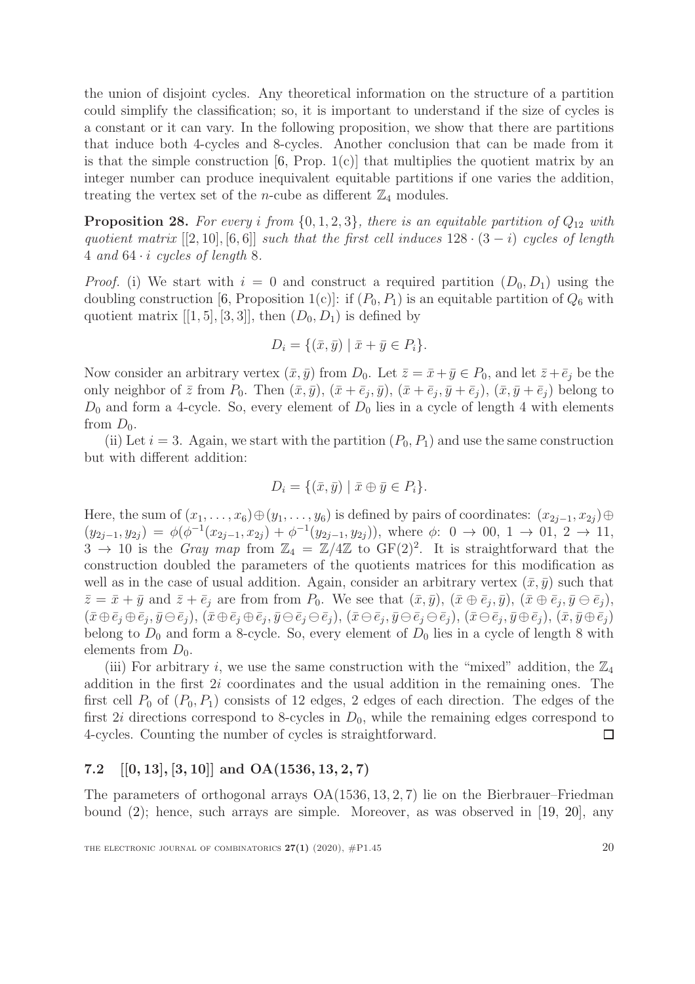the union of disjoint cycles. Any theoretical information on the structure of a partition could simplify the classification; so, it is important to understand if the size of cycles is a constant or it can vary. In the following proposition, we show that there are partitions that induce both 4-cycles and 8-cycles. Another conclusion that can be made from it is that the simple construction  $[6, Prop. 1(c)]$  that multiplies the quotient matrix by an integer number can produce inequivalent equitable partitions if one varies the addition, treating the vertex set of the *n*-cube as different  $\mathbb{Z}_4$  modules.

**Proposition 28.** For every i from  $\{0, 1, 2, 3\}$ , there is an equitable partition of  $Q_{12}$  with quotient matrix  $[2, 10]$ ,  $[6, 6]$ ] such that the first cell induces  $128 \cdot (3 - i)$  cycles of length 4 and  $64 \cdot i$  cycles of length 8.

*Proof.* (i) We start with  $i = 0$  and construct a required partition  $(D_0, D_1)$  using the doubling construction [\[6,](#page-22-2) Proposition 1(c)]: if  $(P_0, P_1)$  is an equitable partition of  $Q_6$  with quotient matrix  $[[1, 5], [3, 3]],$  then  $(D_0, D_1)$  is defined by

$$
D_i = \{ (\bar{x}, \bar{y}) \mid \bar{x} + \bar{y} \in P_i \}.
$$

Now consider an arbitrary vertex  $(\bar{x}, \bar{y})$  from  $D_0$ . Let  $\bar{z} = \bar{x} + \bar{y} \in P_0$ , and let  $\bar{z} + \bar{e}_j$  be the only neighbor of  $\bar{z}$  from  $P_0$ . Then  $(\bar{x}, \bar{y}), (\bar{x} + \bar{e}_j, \bar{y}), (\bar{x} + \bar{e}_j, \bar{y} + \bar{e}_j), (\bar{x}, \bar{y} + \bar{e}_j)$  belong to  $D_0$  and form a 4-cycle. So, every element of  $D_0$  lies in a cycle of length 4 with elements from  $D_0$ .

(ii) Let  $i = 3$ . Again, we start with the partition  $(P_0, P_1)$  and use the same construction but with different addition:

$$
D_i = \{ (\bar{x}, \bar{y}) \mid \bar{x} \oplus \bar{y} \in P_i \}.
$$

Here, the sum of  $(x_1, \ldots, x_6) \oplus (y_1, \ldots, y_6)$  is defined by pairs of coordinates:  $(x_{2j-1}, x_{2j}) \oplus$  $(y_{2j-1}, y_{2j}) = \phi(\phi^{-1}(x_{2j-1}, x_{2j}) + \phi^{-1}(y_{2j-1}, y_{2j}))$ , where  $\phi: 0 \to 00, 1 \to 01, 2 \to 11$ ,  $3 \rightarrow 10$  is the *Gray map* from  $\mathbb{Z}_4 = \mathbb{Z}/4\mathbb{Z}$  to GF(2)<sup>2</sup>. It is straightforward that the construction doubled the parameters of the quotients matrices for this modification as well as in the case of usual addition. Again, consider an arbitrary vertex  $(\bar{x}, \bar{y})$  such that  $\bar{z} = \bar{x} + \bar{y}$  and  $\bar{z} + \bar{e}_j$  are from from  $P_0$ . We see that  $(\bar{x}, \bar{y}), (\bar{x} \oplus \bar{e}_j, \bar{y}), (\bar{x} \oplus \bar{e}_j, \bar{y} \ominus \bar{e}_j),$  $(\bar{x}\!\oplus\!\bar{e}_j\!\oplus\!\bar{e}_j,\bar{y}\!\ominus\!\bar{e}_j),\,(\bar{x}\!\oplus\!\bar{e}_j\!\oplus\!\bar{e}_j\!\ominus\!\bar{e}_j),\,(\bar{x}\!\ominus\!\bar{e}_j\!\ominus\!\bar{e}_j\!\ominus\!\bar{e}_j),\,(\bar{x}\!\ominus\!\bar{e}_j,\bar{y}\!\oplus\!\bar{e}_j),\,(\bar{x},\bar{y}\!\oplus\!\bar{e}_j)$ belong to  $D_0$  and form a 8-cycle. So, every element of  $D_0$  lies in a cycle of length 8 with elements from  $D_0$ .

(iii) For arbitrary i, we use the same construction with the "mixed" addition, the  $\mathbb{Z}_4$ addition in the first 2i coordinates and the usual addition in the remaining ones. The first cell  $P_0$  of  $(P_0, P_1)$  consists of 12 edges, 2 edges of each direction. The edges of the first 2i directions correspond to 8-cycles in  $D_0$ , while the remaining edges correspond to 4-cycles. Counting the number of cycles is straightforward.  $\Box$ 

### 7.2  $[0, 13]$ ,  $[3, 10]$  and  $OA(1536, 13, 2, 7)$

The parameters of orthogonal arrays OA(1536, 13, 2, 7) lie on the Bierbrauer–Friedman bound [\(2\)](#page-2-0); hence, such arrays are simple. Moreover, as was observed in [\[19,](#page-23-10) [20\]](#page-23-11), any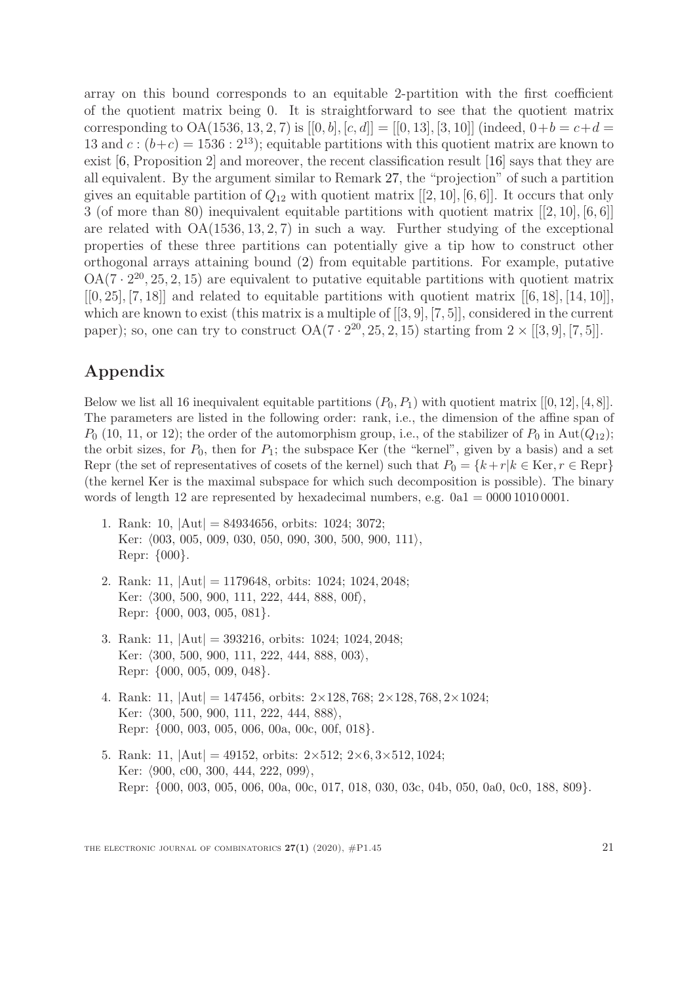array on this bound corresponds to an equitable 2-partition with the first coefficient of the quotient matrix being 0. It is straightforward to see that the quotient matrix corresponding to OA(1536, 13, 2, 7) is  $[[0, b], [c, d]] = [[0, 13], [3, 10]]$  (indeed,  $0+b = c+d$ ) 13 and  $c:(b+c) = 1536:2^{13}$ ; equitable partitions with this quotient matrix are known to exist [\[6,](#page-22-2) Proposition 2] and moreover, the recent classification result [\[16\]](#page-23-12) says that they are all equivalent. By the argument similar to Remark [27,](#page-18-1) the "projection" of such a partition gives an equitable partition of  $Q_{12}$  with quotient matrix [[2, 10], [6, 6]]. It occurs that only 3 (of more than 80) inequivalent equitable partitions with quotient matrix [[2, 10], [6, 6]] are related with  $OA(1536, 13, 2, 7)$  in such a way. Further studying of the exceptional properties of these three partitions can potentially give a tip how to construct other orthogonal arrays attaining bound [\(2\)](#page-2-0) from equitable partitions. For example, putative  $OA(7 \cdot 2^{20}, 25, 2, 15)$  are equivalent to putative equitable partitions with quotient matrix  $[0, 25], [7, 18]$  and related to equitable partitions with quotient matrix  $[6, 18], [14, 10]$ , which are known to exist (this matrix is a multiple of [[3, 9], [7, 5]], considered in the current paper); so, one can try to construct  $OA(7 \cdot 2^{20}, 25, 2, 15)$  starting from  $2 \times [[3, 9], [7, 5]].$ 

# Appendix

Below we list all 16 inequivalent equitable partitions  $(P_0, P_1)$  with quotient matrix  $[[0, 12], [4, 8]]$ . The parameters are listed in the following order: rank, i.e., the dimension of the affine span of  $P_0$  (10, 11, or 12); the order of the automorphism group, i.e., of the stabilizer of  $P_0$  in Aut $(Q_{12})$ ; the orbit sizes, for  $P_0$ , then for  $P_1$ ; the subspace Ker (the "kernel", given by a basis) and a set Repr (the set of representatives of cosets of the kernel) such that  $P_0 = \{k + r | k \in \text{Ker}, r \in \text{Repr}\}\$ (the kernel Ker is the maximal subspace for which such decomposition is possible). The binary words of length 12 are represented by hexadecimal numbers, e.g.  $0a1 = 0000 1010 0001$ .

- 1. Rank: 10,  $|Aut| = 84934656$ , orbits: 1024; 3072; Ker:  $(003, 005, 009, 030, 050, 090, 300, 500, 900, 111),$ Repr: {000}.
- 2. Rank: 11, |Aut| = 1179648, orbits: 1024; 1024, 2048; Ker:  $\langle 300, 500, 900, 111, 222, 444, 888, 00f \rangle$ , Repr: {000, 003, 005, 081}.
- 3. Rank: 11, |Aut| = 393216, orbits: 1024; 1024, 2048; Ker:  $\langle 300, 500, 900, 111, 222, 444, 888, 003 \rangle$ , Repr: {000, 005, 009, 048}.
- 4. Rank: 11,  $|\text{Aut}| = 147456$ , orbits:  $2 \times 128, 768$ ;  $2 \times 128, 768, 2 \times 1024$ ; Ker:  $\langle 300, 500, 900, 111, 222, 444, 888 \rangle$ , Repr: {000, 003, 005, 006, 00a, 00c, 00f, 018}.
- 5. Rank: 11,  $|Aut| = 49152$ , orbits:  $2 \times 512$ ;  $2 \times 6$ ,  $3 \times 512$ ,  $1024$ ; Ker:  $\langle 900, \, 000, \, 300, \, 444, \, 222, \, 099 \rangle$ , Repr: {000, 003, 005, 006, 00a, 00c, 017, 018, 030, 03c, 04b, 050, 0a0, 0c0, 188, 809}.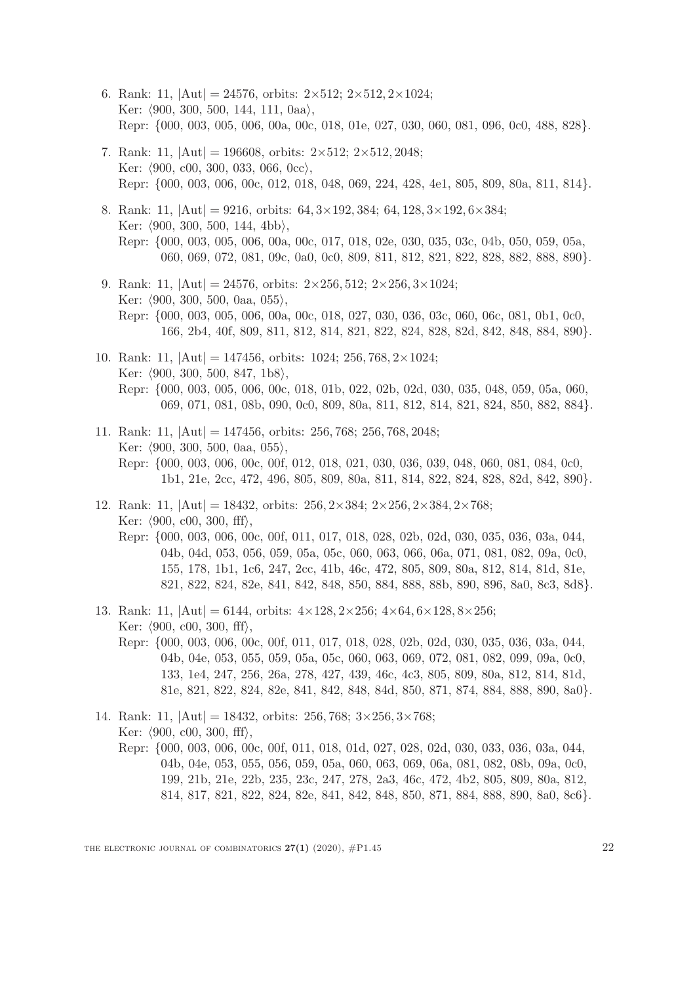- 6. Rank: 11,  $|\text{Aut}| = 24576$ , orbits:  $2 \times 512$ ;  $2 \times 512$ ,  $2 \times 1024$ ; Ker:  $(900, 300, 500, 144, 111, 0aa)$ , Repr: {000, 003, 005, 006, 00a, 00c, 018, 01e, 027, 030, 060, 081, 096, 0c0, 488, 828}.
- 7. Rank: 11,  $|Aut| = 196608$ , orbits:  $2 \times 512$ ;  $2 \times 512$ , 2048; Ker:  $(900, c00, 300, 033, 066, 0cc)$ , Repr: {000, 003, 006, 00c, 012, 018, 048, 069, 224, 428, 4e1, 805, 809, 80a, 811, 814}.
- 8. Rank: 11,  $|Aut| = 9216$ , orbits:  $64, 3 \times 192, 384$ ;  $64, 128, 3 \times 192, 6 \times 384$ ; Ker:  $(900, 300, 500, 144, 4bb)$ , Repr: {000, 003, 005, 006, 00a, 00c, 017, 018, 02e, 030, 035, 03c, 04b, 050, 059, 05a, 060, 069, 072, 081, 09c, 0a0, 0c0, 809, 811, 812, 821, 822, 828, 882, 888, 890}.
- 9. Rank: 11,  $|Aut| = 24576$ , orbits:  $2 \times 256$ ,  $512$ ;  $2 \times 256$ ,  $3 \times 1024$ ; Ker:  $(900, 300, 500, 0$ aa, 055 $\rangle$ , Repr: {000, 003, 005, 006, 00a, 00c, 018, 027, 030, 036, 03c, 060, 06c, 081, 0b1, 0c0, 166, 2b4, 40f, 809, 811, 812, 814, 821, 822, 824, 828, 82d, 842, 848, 884, 890}.
- 10. Rank: 11,  $|\text{Aut}| = 147456$ , orbits: 1024; 256, 768, 2×1024; Ker:  $\langle 900, 300, 500, 847, 1b8 \rangle$ , Repr: {000, 003, 005, 006, 00c, 018, 01b, 022, 02b, 02d, 030, 035, 048, 059, 05a, 060, 069, 071, 081, 08b, 090, 0c0, 809, 80a, 811, 812, 814, 821, 824, 850, 882, 884}.
- 11. Rank: 11, |Aut| = 147456, orbits: 256, 768; 256, 768, 2048; Ker:  $(900, 300, 500, 0$ aa, 055 $),$ Repr: {000, 003, 006, 00c, 00f, 012, 018, 021, 030, 036, 039, 048, 060, 081, 084, 0c0, 1b1, 21e, 2cc, 472, 496, 805, 809, 80a, 811, 814, 822, 824, 828, 82d, 842, 890}.
- 12. Rank: 11,  $|Aut| = 18432$ , orbits:  $256, 2 \times 384$ ;  $2 \times 256, 2 \times 384, 2 \times 768$ ; Ker:  $(900, c00, 300, ff)$ , Repr: {000, 003, 006, 00c, 00f, 011, 017, 018, 028, 02b, 02d, 030, 035, 036, 03a, 044, 04b, 04d, 053, 056, 059, 05a, 05c, 060, 063, 066, 06a, 071, 081, 082, 09a, 0c0, 155, 178, 1b1, 1c6, 247, 2cc, 41b, 46c, 472, 805, 809, 80a, 812, 814, 81d, 81e, 821, 822, 824, 82e, 841, 842, 848, 850, 884, 888, 88b, 890, 896, 8a0, 8c3, 8d8}.
- 13. Rank: 11,  $|Aut| = 6144$ , orbits:  $4 \times 128$ ,  $2 \times 256$ ;  $4 \times 64$ ,  $6 \times 128$ ,  $8 \times 256$ ; Ker:  $(900, c00, 300, ff)$ , Repr: {000, 003, 006, 00c, 00f, 011, 017, 018, 028, 02b, 02d, 030, 035, 036, 03a, 044, 04b, 04e, 053, 055, 059, 05a, 05c, 060, 063, 069, 072, 081, 082, 099, 09a, 0c0, 133, 1e4, 247, 256, 26a, 278, 427, 439, 46c, 4c3, 805, 809, 80a, 812, 814, 81d, 81e, 821, 822, 824, 82e, 841, 842, 848, 84d, 850, 871, 874, 884, 888, 890, 8a0}.
- 14. Rank: 11,  $|Aut| = 18432$ , orbits: 256, 768;  $3 \times 256$ ,  $3 \times 768$ ; Ker:  $(900, c00, 300, ff)$ , Repr: {000, 003, 006, 00c, 00f, 011, 018, 01d, 027, 028, 02d, 030, 033, 036, 03a, 044, 04b, 04e, 053, 055, 056, 059, 05a, 060, 063, 069, 06a, 081, 082, 08b, 09a, 0c0, 199, 21b, 21e, 22b, 235, 23c, 247, 278, 2a3, 46c, 472, 4b2, 805, 809, 80a, 812, 814, 817, 821, 822, 824, 82e, 841, 842, 848, 850, 871, 884, 888, 890, 8a0, 8c6}.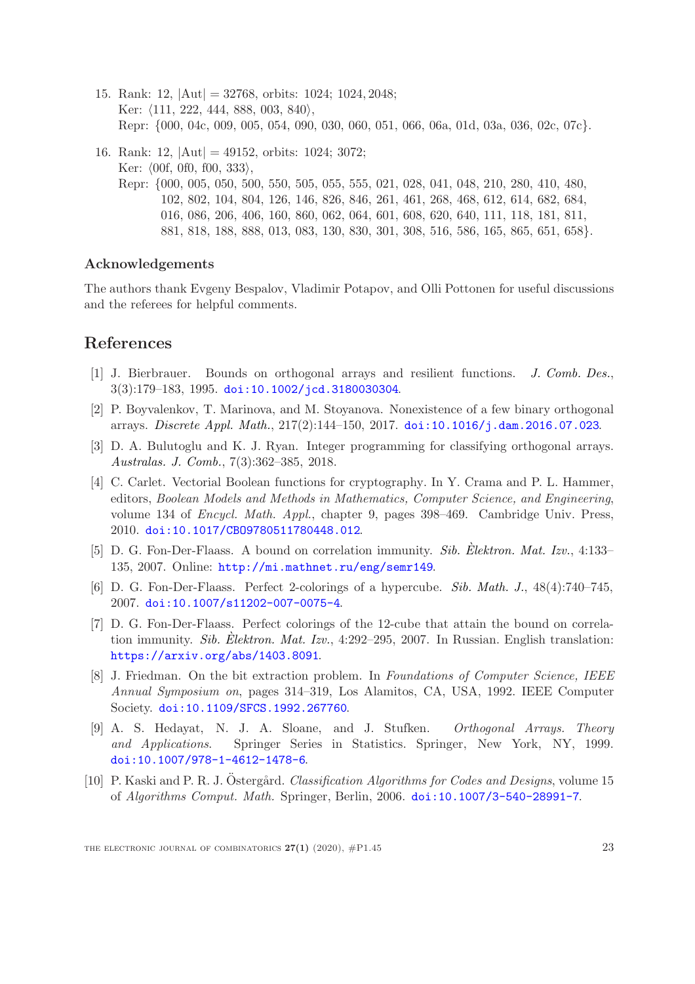- 15. Rank: 12, |Aut| = 32768, orbits: 1024; 1024, 2048; Ker:  $\langle 111, 222, 444, 888, 003, 840 \rangle$ , Repr: {000, 04c, 009, 005, 054, 090, 030, 060, 051, 066, 06a, 01d, 03a, 036, 02c, 07c}.
- 16. Rank: 12, |Aut| = 49152, orbits: 1024; 3072; Ker:  $(0.0f, 0.0f, 0.533)$ , Repr: {000, 005, 050, 500, 550, 505, 055, 555, 021, 028, 041, 048, 210, 280, 410, 480, 102, 802, 104, 804, 126, 146, 826, 846, 261, 461, 268, 468, 612, 614, 682, 684, 016, 086, 206, 406, 160, 860, 062, 064, 601, 608, 620, 640, 111, 118, 181, 811, 881, 818, 188, 888, 013, 083, 130, 830, 301, 308, 516, 586, 165, 865, 651, 658}.

#### Acknowledgements

The authors thank Evgeny Bespalov, Vladimir Potapov, and Olli Pottonen for useful discussions and the referees for helpful comments.

### <span id="page-22-6"></span>References

- <span id="page-22-7"></span>[1] J. Bierbrauer. Bounds on orthogonal arrays and resilient functions. [J. Comb. Des.](http://onlinelibrary.wiley.com/journal/10.1002/(ISSN)1520-6610), 3(3):179–183, 1995. [doi:10.1002/jcd.3180030304](http://dx.doi.org/10.1002/jcd.3180030304).
- [2] P. Boyvalenkov, T. Marinova, and M. Stoyanova. Nonexistence of a few binary orthogonal arrays. [Discrete Appl. Math.](http://www.sciencedirect.com/science/journal/0166218X), 217(2):144–150, 2017. [doi:10.1016/j.dam.2016.07.023](http://dx.doi.org/10.1016/j.dam.2016.07.023).
- <span id="page-22-8"></span>[3] D. A. Bulutoglu and K. J. Ryan. Integer programming for classifying orthogonal arrays. [Australas. J. Comb.](http://ajc.maths.uq.edu.au), 7(3):362–385, 2018.
- <span id="page-22-3"></span>[4] C. Carlet. Vectorial Boolean functions for cryptography. In Y. Crama and P. L. Hammer, editors, Boolean Models and Methods in Mathematics, Computer Science, and Engineering, volume 134 of Encycl. Math. Appl., chapter 9, pages 398–469. Cambridge Univ. Press, 2010. [doi:10.1017/CBO9780511780448.012](http://dx.doi.org/10.1017/CBO9780511780448.012).
- <span id="page-22-0"></span>[5] D. G. Fon-Der-Flaass. A bound on correlation immunity. Sib. [Elektron. Mat. Izv.](http://semr.math.nsc.ru), 4:133– 135, 2007. Online: <http://mi.mathnet.ru/eng/semr149>.
- <span id="page-22-2"></span><span id="page-22-1"></span>[6] D. G. Fon-Der-Flaass. Perfect 2-colorings of a hypercube. [Sib. Math. J.](http://link.springer.com/journal/11202), 48(4):740–745, 2007. [doi:10.1007/s11202-007-0075-4](http://dx.doi.org/10.1007/s11202-007-0075-4).
- [7] D. G. Fon-Der-Flaass. Perfect colorings of the 12-cube that attain the bound on correla-tion immunity. Sib. [Elektron. Mat. Izv.](http://semr.math.nsc.ru),  $4:292-295$ , 2007. In Russian. English translation: <https://arxiv.org/abs/1403.8091>.
- <span id="page-22-4"></span>[8] J. Friedman. On the bit extraction problem. In Foundations of Computer Science, IEEE Annual Symposium on, pages 314–319, Los Alamitos, CA, USA, 1992. IEEE Computer Society. [doi:10.1109/SFCS.1992.267760](http://dx.doi.org/10.1109/SFCS.1992.267760).
- <span id="page-22-5"></span>[9] A. S. Hedayat, N. J. A. Sloane, and J. Stufken. Orthogonal Arrays. Theory and Applications. Springer Series in Statistics. Springer, New York, NY, 1999. [doi:10.1007/978-1-4612-1478-6](http://dx.doi.org/10.1007/978-1-4612-1478-6).
- <span id="page-22-9"></span>[10] P. Kaski and P. R. J. Ostergård. Classification Algorithms for Codes and Designs, volume 15 of Algorithms Comput. Math. Springer, Berlin, 2006. [doi:10.1007/3-540-28991-7](http://dx.doi.org/10.1007/3-540-28991-7).